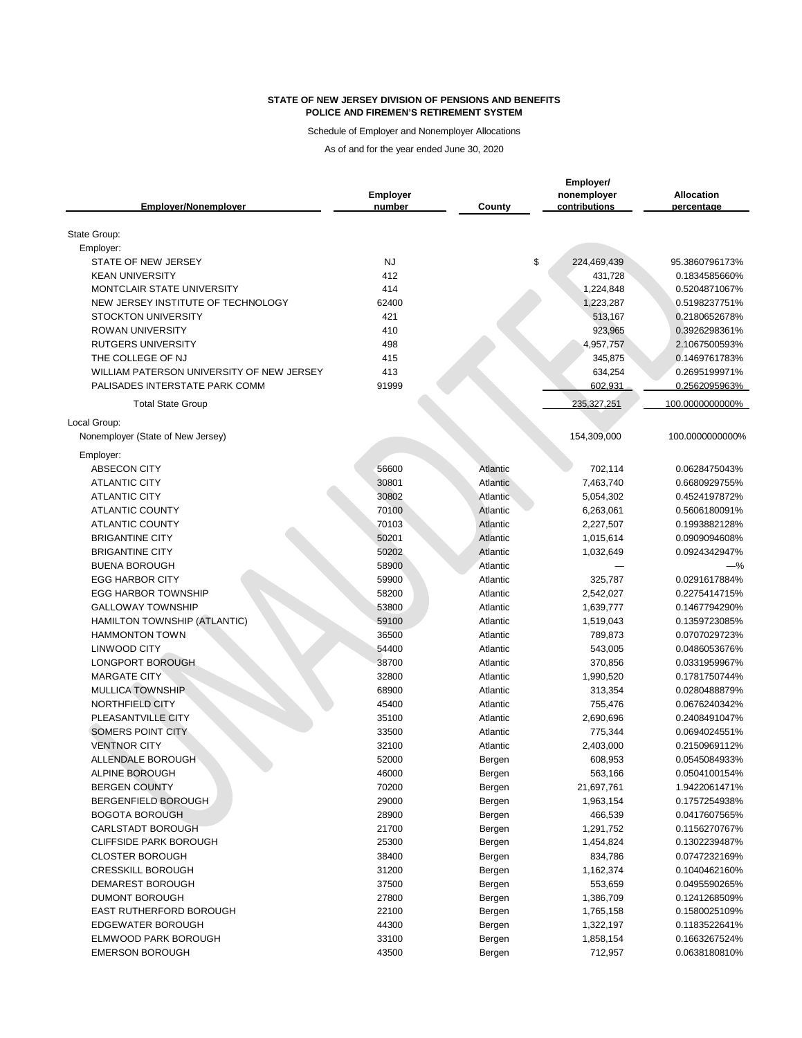Schedule of Employer and Nonemployer Allocations

|                                           | <b>Employer</b> |                 | Employer/<br>nonemployer | <b>Allocation</b>              |
|-------------------------------------------|-----------------|-----------------|--------------------------|--------------------------------|
| <b>Emplover/Nonemplover</b>               | number          | <b>County</b>   | contributions            | percentage                     |
| State Group:                              |                 |                 |                          |                                |
| Employer:                                 |                 |                 |                          |                                |
| STATE OF NEW JERSEY                       | <b>NJ</b>       |                 | \$<br>224,469,439        | 95.3860796173%                 |
| <b>KEAN UNIVERSITY</b>                    | 412             |                 | 431,728                  | 0.1834585660%                  |
| <b>MONTCLAIR STATE UNIVERSITY</b>         | 414             |                 | 1,224,848                | 0.5204871067%                  |
| NEW JERSEY INSTITUTE OF TECHNOLOGY        | 62400           |                 | 1,223,287                | 0.5198237751%                  |
| <b>STOCKTON UNIVERSITY</b>                | 421             |                 | 513,167                  | 0.2180652678%                  |
| <b>ROWAN UNIVERSITY</b>                   | 410             |                 | 923,965                  | 0.3926298361%                  |
| <b>RUTGERS UNIVERSITY</b>                 | 498             |                 | 4,957,757                | 2.1067500593%                  |
| THE COLLEGE OF NJ                         | 415             |                 | 345,875                  | 0.1469761783%                  |
| WILLIAM PATERSON UNIVERSITY OF NEW JERSEY | 413             |                 | 634,254                  | 0.2695199971%                  |
| PALISADES INTERSTATE PARK COMM            | 91999           |                 | 602,931                  | 0.2562095963%                  |
| <b>Total State Group</b>                  |                 |                 | 235,327,251              | 100.0000000000%                |
| Local Group:                              |                 |                 |                          |                                |
| Nonemployer (State of New Jersey)         |                 |                 | 154,309,000              | 100.0000000000%                |
| Employer:                                 |                 |                 |                          |                                |
| <b>ABSECON CITY</b>                       | 56600           | <b>Atlantic</b> | 702,114                  | 0.0628475043%                  |
| <b>ATLANTIC CITY</b>                      | 30801           | Atlantic        | 7,463,740                | 0.6680929755%                  |
| <b>ATLANTIC CITY</b>                      | 30802           | Atlantic        | 5,054,302                | 0.4524197872%                  |
| <b>ATLANTIC COUNTY</b>                    | 70100           | Atlantic        | 6,263,061                | 0.5606180091%                  |
| <b>ATLANTIC COUNTY</b>                    | 70103           | Atlantic        | 2,227,507                | 0.1993882128%                  |
| <b>BRIGANTINE CITY</b>                    | 50201           | Atlantic        | 1,015,614                | 0.0909094608%                  |
| <b>BRIGANTINE CITY</b>                    | 50202           | Atlantic        | 1,032,649                | 0.0924342947%                  |
| <b>BUENA BOROUGH</b>                      | 58900           | Atlantic        |                          | -%                             |
| <b>EGG HARBOR CITY</b>                    | 59900           | Atlantic        | 325,787                  | 0.0291617884%                  |
| <b>EGG HARBOR TOWNSHIP</b>                | 58200           | Atlantic        | 2,542,027                | 0.2275414715%                  |
| <b>GALLOWAY TOWNSHIP</b>                  | 53800           | Atlantic        | 1,639,777                | 0.1467794290%                  |
| HAMILTON TOWNSHIP (ATLANTIC)              | 59100           | Atlantic        | 1,519,043                | 0.1359723085%                  |
| <b>HAMMONTON TOWN</b>                     | 36500           | Atlantic        | 789,873                  | 0.0707029723%                  |
| <b>LINWOOD CITY</b>                       | 54400           | Atlantic        | 543,005                  | 0.0486053676%                  |
| LONGPORT BOROUGH                          | 38700           | Atlantic        | 370,856                  | 0.0331959967%                  |
| <b>MARGATE CITY</b>                       | 32800           | Atlantic        | 1,990,520                | 0.1781750744%                  |
| <b>MULLICA TOWNSHIP</b>                   | 68900           | Atlantic        | 313,354                  | 0.0280488879%                  |
| NORTHFIELD CITY                           | 45400           | Atlantic        | 755,476                  | 0.0676240342%                  |
| PLEASANTVILLE CITY                        | 35100           | Atlantic        | 2,690,696                | 0.2408491047%                  |
| <b>SOMERS POINT CITY</b>                  | 33500           | Atlantic        | 775,344                  | 0.0694024551%                  |
| <b>VENTNOR CITY</b>                       | 32100           | Atlantic        | 2,403,000                | 0.2150969112%                  |
| ALLENDALE BOROUGH                         | 52000           | Bergen          | 608,953                  | 0.0545084933%                  |
| ALPINE BOROUGH                            | 46000           | Bergen          | 563,166                  | 0.0504100154%                  |
| <b>BERGEN COUNTY</b>                      | 70200           | Bergen          | 21,697,761               | 1.9422061471%                  |
| BERGENFIELD BOROUGH                       | 29000           | Bergen          | 1,963,154                | 0.1757254938%                  |
| <b>BOGOTA BOROUGH</b>                     | 28900           | Bergen          | 466,539                  | 0.0417607565%                  |
| <b>CARLSTADT BOROUGH</b>                  | 21700           | Bergen          | 1,291,752                | 0.1156270767%                  |
| <b>CLIFFSIDE PARK BOROUGH</b>             | 25300           | Bergen          | 1,454,824                | 0.1302239487%                  |
| <b>CLOSTER BOROUGH</b>                    | 38400           | Bergen          | 834,786                  | 0.0747232169%                  |
| <b>CRESSKILL BOROUGH</b>                  | 31200           | Bergen          | 1,162,374                | 0.1040462160%                  |
| <b>DEMAREST BOROUGH</b>                   | 37500           | Bergen          | 553,659                  | 0.0495590265%                  |
| <b>DUMONT BOROUGH</b>                     | 27800           | Bergen          | 1,386,709                | 0.1241268509%                  |
| EAST RUTHERFORD BOROUGH                   | 22100           | Bergen          | 1,765,158                | 0.1580025109%                  |
| <b>EDGEWATER BOROUGH</b>                  | 44300           |                 |                          | 0.1183522641%                  |
| ELMWOOD PARK BOROUGH                      |                 | Bergen          | 1,322,197                |                                |
| <b>EMERSON BOROUGH</b>                    | 33100           | Bergen          | 1,858,154                | 0.1663267524%<br>0.0638180810% |
|                                           | 43500           | Bergen          | 712,957                  |                                |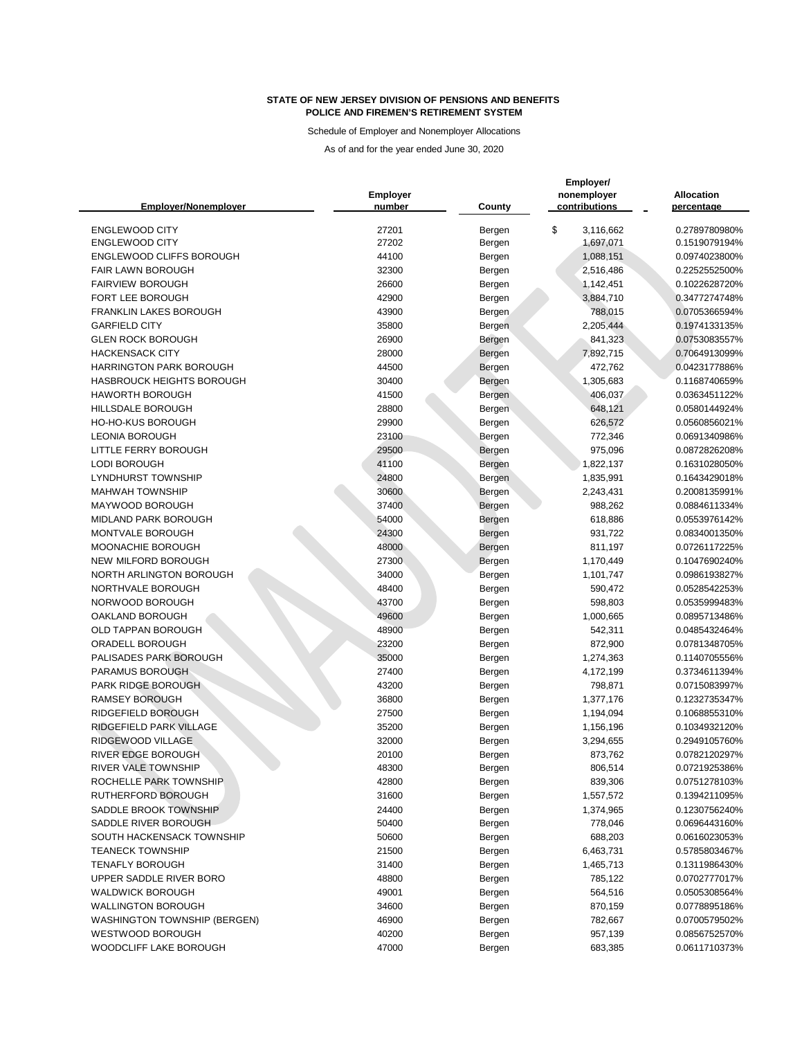Schedule of Employer and Nonemployer Allocations

| <b>Emplover/Nonemplover</b>         | <b>Employer</b><br>number | <b>County</b>    | Employer/<br>nonemployer<br>contributions | <b>Allocation</b><br>percentage |
|-------------------------------------|---------------------------|------------------|-------------------------------------------|---------------------------------|
| <b>ENGLEWOOD CITY</b>               | 27201                     | Bergen           | \$<br>3,116,662                           | 0.2789780980%                   |
| <b>ENGLEWOOD CITY</b>               | 27202                     | Bergen           | 1,697,071                                 | 0.1519079194%                   |
| <b>ENGLEWOOD CLIFFS BOROUGH</b>     | 44100                     | Bergen           | 1,088,151                                 | 0.0974023800%                   |
| <b>FAIR LAWN BOROUGH</b>            | 32300                     | Bergen           | 2,516,486                                 | 0.2252552500%                   |
| <b>FAIRVIEW BOROUGH</b>             | 26600                     | Bergen           | 1,142,451                                 | 0.1022628720%                   |
| FORT LEE BOROUGH                    | 42900                     | Bergen           | 3,884,710                                 | 0.3477274748%                   |
| <b>FRANKLIN LAKES BOROUGH</b>       | 43900                     | Bergen           | 788,015                                   | 0.0705366594%                   |
| <b>GARFIELD CITY</b>                | 35800                     | Bergen           | 2,205,444                                 | 0.1974133135%                   |
| <b>GLEN ROCK BOROUGH</b>            | 26900                     | Bergen           | 841,323                                   | 0.0753083557%                   |
| <b>HACKENSACK CITY</b>              | 28000                     | Bergen           | 7,892,715                                 | 0.7064913099%                   |
| <b>HARRINGTON PARK BOROUGH</b>      | 44500                     | Bergen           | 472,762                                   | 0.0423177886%                   |
| HASBROUCK HEIGHTS BOROUGH           | 30400                     | Bergen           | 1,305,683                                 | 0.1168740659%                   |
| <b>HAWORTH BOROUGH</b>              | 41500                     | Bergen           | 406,037                                   | 0.0363451122%                   |
| <b>HILLSDALE BOROUGH</b>            | 28800                     | Bergen           | 648,121                                   | 0.0580144924%                   |
| <b>HO-HO-KUS BOROUGH</b>            | 29900                     | Bergen           | 626,572                                   | 0.0560856021%                   |
| <b>LEONIA BOROUGH</b>               | 23100                     | Bergen           | 772,346                                   | 0.0691340986%                   |
| LITTLE FERRY BOROUGH                | 29500                     | Bergen           | 975,096                                   | 0.0872826208%                   |
| <b>LODI BOROUGH</b>                 | 41100                     | Bergen           | 1,822,137                                 | 0.1631028050%                   |
| <b>LYNDHURST TOWNSHIP</b>           | 24800                     | Bergen           | 1,835,991                                 | 0.1643429018%                   |
| <b>MAHWAH TOWNSHIP</b>              | 30600                     | Bergen           | 2,243,431                                 | 0.2008135991%                   |
| MAYWOOD BOROUGH                     | 37400                     | Bergen           | 988,262                                   | 0.0884611334%                   |
| MIDLAND PARK BOROUGH                | 54000                     | Bergen           | 618,886                                   | 0.0553976142%                   |
| MONTVALE BOROUGH                    | 24300                     | Bergen           | 931,722                                   | 0.0834001350%                   |
| MOONACHIE BOROUGH                   | 48000                     | Bergen           | 811,197                                   | 0.0726117225%                   |
| NEW MILFORD BOROUGH                 | 27300                     | Bergen           | 1,170,449                                 | 0.1047690240%                   |
| NORTH ARLINGTON BOROUGH             | 34000                     | Bergen           | 1,101,747                                 | 0.0986193827%                   |
| NORTHVALE BOROUGH                   | 48400                     | Bergen           | 590,472                                   | 0.0528542253%                   |
| NORWOOD BOROUGH                     | 43700                     | Bergen           | 598,803                                   | 0.0535999483%                   |
| OAKLAND BOROUGH                     | 49600                     | Bergen           | 1,000,665                                 | 0.0895713486%                   |
| <b>OLD TAPPAN BOROUGH</b>           | 48900                     | Bergen           | 542,311                                   | 0.0485432464%                   |
| ORADELL BOROUGH                     | 23200                     | Bergen           | 872,900                                   | 0.0781348705%                   |
| PALISADES PARK BOROUGH              | 35000                     | Bergen           | 1,274,363                                 | 0.1140705556%                   |
| PARAMUS BOROUGH                     | 27400                     | Bergen           | 4,172,199                                 | 0.3734611394%                   |
| PARK RIDGE BOROUGH                  | 43200                     | Bergen           | 798,871                                   | 0.0715083997%                   |
| <b>RAMSEY BOROUGH</b>               | 36800                     | Bergen           | 1,377,176                                 | 0.1232735347%                   |
| RIDGEFIELD BOROUGH                  | 27500                     | Bergen           | 1,194,094                                 | 0.1068855310%                   |
| RIDGEFIELD PARK VILLAGE             | 35200                     | Bergen           | 1,156,196                                 | 0.1034932120%                   |
| RIDGEWOOD VILLAGE                   | 32000                     | Bergen           | 3,294,655                                 | 0.2949105760%                   |
| RIVER EDGE BOROUGH                  | 20100                     | Bergen           | 873,762                                   | 0.0782120297%                   |
| RIVER VALE TOWNSHIP                 | 48300                     |                  | 806,514                                   | 0.0721925386%                   |
| ROCHELLE PARK TOWNSHIP              | 42800                     | Bergen<br>Bergen | 839,306                                   | 0.0751278103%                   |
| RUTHERFORD BOROUGH                  | 31600                     |                  | 1,557,572                                 | 0.1394211095%                   |
| SADDLE BROOK TOWNSHIP               | 24400                     | Bergen           |                                           | 0.1230756240%                   |
| SADDLE RIVER BOROUGH                | 50400                     | Bergen           | 1,374,965<br>778,046                      | 0.0696443160%                   |
| SOUTH HACKENSACK TOWNSHIP           | 50600                     | Bergen           | 688,203                                   |                                 |
|                                     |                           | Bergen           |                                           | 0.0616023053%                   |
| <b>TEANECK TOWNSHIP</b>             | 21500                     | Bergen           | 6,463,731                                 | 0.5785803467%                   |
| <b>TENAFLY BOROUGH</b>              | 31400                     | Bergen           | 1,465,713                                 | 0.1311986430%                   |
| UPPER SADDLE RIVER BORO             | 48800                     | Bergen           | 785,122                                   | 0.0702777017%                   |
| <b>WALDWICK BOROUGH</b>             | 49001                     | Bergen           | 564,516                                   | 0.0505308564%                   |
| <b>WALLINGTON BOROUGH</b>           | 34600                     | Bergen           | 870,159                                   | 0.0778895186%                   |
| <b>WASHINGTON TOWNSHIP (BERGEN)</b> | 46900                     | Bergen           | 782,667                                   | 0.0700579502%                   |
| <b>WESTWOOD BOROUGH</b>             | 40200                     | Bergen           | 957,139                                   | 0.0856752570%                   |
| WOODCLIFF LAKE BOROUGH              | 47000                     | Bergen           | 683,385                                   | 0.0611710373%                   |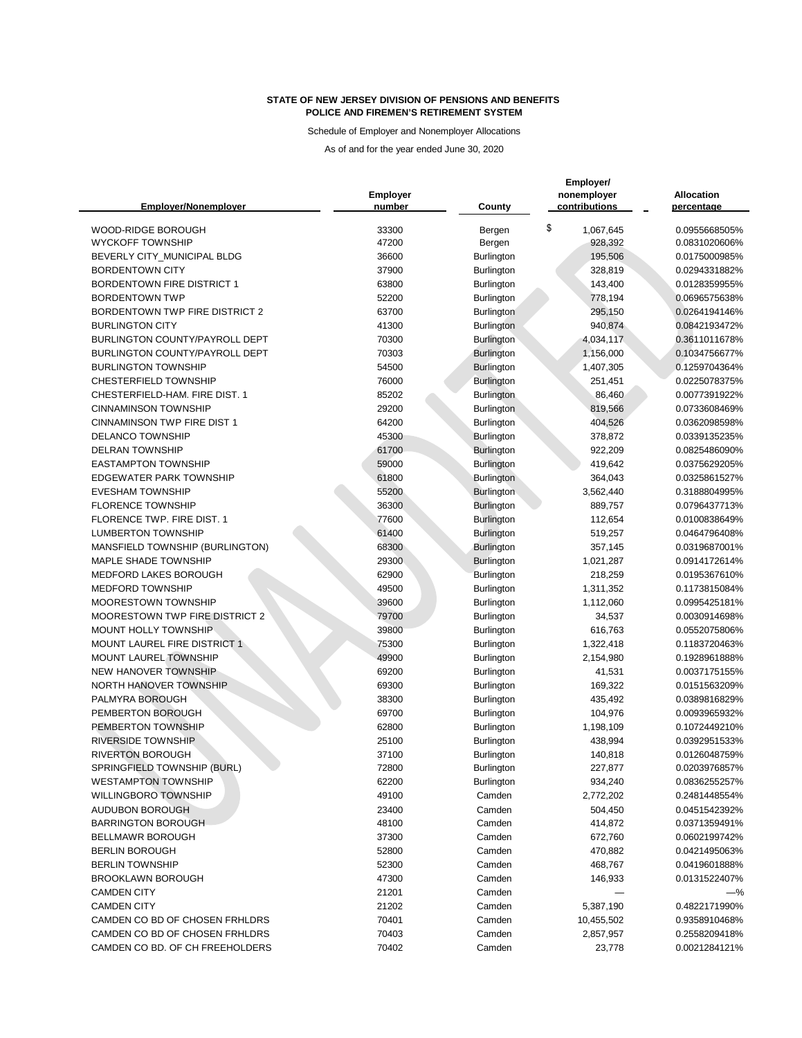Schedule of Employer and Nonemployer Allocations

| <b>Emplover/Nonemplover</b>           | <b>Employer</b><br>number | County                          | Employer/<br>nonemployer<br>contributions | <b>Allocation</b><br>percentage |
|---------------------------------------|---------------------------|---------------------------------|-------------------------------------------|---------------------------------|
| WOOD-RIDGE BOROUGH                    | 33300                     | Bergen                          | \$<br>1,067,645                           | 0.0955668505%                   |
| <b>WYCKOFF TOWNSHIP</b>               | 47200                     | Bergen                          | 928,392                                   | 0.0831020606%                   |
| BEVERLY CITY_MUNICIPAL BLDG           | 36600                     | Burlington                      | 195,506                                   | 0.0175000985%                   |
| <b>BORDENTOWN CITY</b>                | 37900                     | <b>Burlington</b>               | 328,819                                   | 0.0294331882%                   |
| <b>BORDENTOWN FIRE DISTRICT 1</b>     | 63800                     | Burlington                      | 143,400                                   | 0.0128359955%                   |
| <b>BORDENTOWN TWP</b>                 | 52200                     | Burlington                      | 778,194                                   | 0.0696575638%                   |
| <b>BORDENTOWN TWP FIRE DISTRICT 2</b> | 63700                     | <b>Burlington</b>               | 295,150                                   | 0.0264194146%                   |
| <b>BURLINGTON CITY</b>                | 41300                     | <b>Burlington</b>               | 940,874                                   | 0.0842193472%                   |
| BURLINGTON COUNTY/PAYROLL DEPT        | 70300                     | <b>Burlington</b>               | 4,034,117                                 | 0.3611011678%                   |
| BURLINGTON COUNTY/PAYROLL DEPT        | 70303                     | Burlington                      | 1,156,000                                 | 0.1034756677%                   |
| <b>BURLINGTON TOWNSHIP</b>            | 54500                     | Burlington                      | 1,407,305                                 | 0.1259704364%                   |
| <b>CHESTERFIELD TOWNSHIP</b>          | 76000                     | Burlington                      | 251,451                                   | 0.0225078375%                   |
| CHESTERFIELD-HAM. FIRE DIST. 1        | 85202                     | <b>Burlington</b>               | 86,460                                    | 0.0077391922%                   |
| <b>CINNAMINSON TOWNSHIP</b>           | 29200                     | <b>Burlington</b>               | 819,566                                   | 0.0733608469%                   |
| <b>CINNAMINSON TWP FIRE DIST 1</b>    | 64200                     | Burlington                      | 404,526                                   | 0.0362098598%                   |
| <b>DELANCO TOWNSHIP</b>               | 45300                     | Burlington                      | 378,872                                   | 0.0339135235%                   |
| <b>DELRAN TOWNSHIP</b>                | 61700                     | Burlington                      | 922,209                                   | 0.0825486090%                   |
| <b>EASTAMPTON TOWNSHIP</b>            | 59000                     | <b>Burlington</b>               | 419,642                                   | 0.0375629205%                   |
| <b>EDGEWATER PARK TOWNSHIP</b>        | 61800                     | <b>Burlington</b>               | 364,043                                   | 0.0325861527%                   |
| <b>EVESHAM TOWNSHIP</b>               | 55200                     | <b>Burlington</b>               | 3,562,440                                 | 0.3188804995%                   |
| <b>FLORENCE TOWNSHIP</b>              | 36300                     | <b>Burlington</b>               | 889,757                                   | 0.0796437713%                   |
| FLORENCE TWP. FIRE DIST. 1            | 77600                     | <b>Burlington</b>               | 112,654                                   | 0.0100838649%                   |
| <b>LUMBERTON TOWNSHIP</b>             | 61400                     | <b>Burlington</b>               | 519,257                                   | 0.0464796408%                   |
| MANSFIELD TOWNSHIP (BURLINGTON)       | 68300                     | <b>Burlington</b>               | 357,145                                   | 0.0319687001%                   |
| <b>MAPLE SHADE TOWNSHIP</b>           | 29300                     | <b>Burlington</b>               | 1,021,287                                 | 0.0914172614%                   |
| MEDFORD LAKES BOROUGH                 | 62900                     | Burlington                      | 218,259                                   | 0.0195367610%                   |
| <b>MEDFORD TOWNSHIP</b>               | 49500                     | Burlington                      | 1,311,352                                 | 0.1173815084%                   |
| <b>MOORESTOWN TOWNSHIP</b>            | 39600                     | <b>Burlington</b>               | 1,112,060                                 | 0.0995425181%                   |
| MOORESTOWN TWP FIRE DISTRICT 2        | 79700                     | <b>Burlington</b>               | 34,537                                    | 0.0030914698%                   |
| MOUNT HOLLY TOWNSHIP                  | 39800                     | <b>Burlington</b>               | 616,763                                   | 0.0552075806%                   |
| MOUNT LAUREL FIRE DISTRICT 1          | 75300                     | Burlington                      | 1,322,418                                 | 0.1183720463%                   |
| MOUNT LAUREL TOWNSHIP                 | 49900                     | Burlington                      | 2,154,980                                 | 0.1928961888%                   |
| NEW HANOVER TOWNSHIP                  | 69200                     | <b>Burlington</b>               | 41,531                                    | 0.0037175155%                   |
| NORTH HANOVER TOWNSHIP                | 69300                     | Burlington                      | 169,322                                   | 0.0151563209%                   |
| PALMYRA BOROUGH<br>PEMBERTON BOROUGH  | 38300<br>69700            | <b>Burlington</b>               | 435,492                                   | 0.0389816829%<br>0.0093965932%  |
| PEMBERTON TOWNSHIP                    | 62800                     | <b>Burlington</b><br>Burlington | 104,976<br>1,198,109                      | 0.1072449210%                   |
| <b>RIVERSIDE TOWNSHIP</b>             | 25100                     | <b>Burlington</b>               | 438,994                                   | 0.0392951533%                   |
| <b>RIVERTON BOROUGH</b>               | 37100                     | <b>Burlington</b>               | 140,818                                   | 0.0126048759%                   |
| SPRINGFIELD TOWNSHIP (BURL)           | 72800                     | <b>Burlington</b>               | 227,877                                   | 0.0203976857%                   |
| <b>WESTAMPTON TOWNSHIP</b>            | 62200                     | <b>Burlington</b>               | 934,240                                   | 0.0836255257%                   |
| <b>WILLINGBORO TOWNSHIP</b>           | 49100                     | Camden                          | 2,772,202                                 | 0.2481448554%                   |
| <b>AUDUBON BOROUGH</b>                | 23400                     | Camden                          | 504,450                                   | 0.0451542392%                   |
| <b>BARRINGTON BOROUGH</b>             | 48100                     | Camden                          | 414,872                                   | 0.0371359491%                   |
| <b>BELLMAWR BOROUGH</b>               | 37300                     | Camden                          | 672,760                                   | 0.0602199742%                   |
| <b>BERLIN BOROUGH</b>                 | 52800                     | Camden                          | 470,882                                   | 0.0421495063%                   |
| <b>BERLIN TOWNSHIP</b>                | 52300                     | Camden                          | 468,767                                   | 0.0419601888%                   |
| <b>BROOKLAWN BOROUGH</b>              | 47300                     | Camden                          | 146,933                                   | 0.0131522407%                   |
| <b>CAMDEN CITY</b>                    | 21201                     | Camden                          |                                           | —%                              |
| <b>CAMDEN CITY</b>                    | 21202                     | Camden                          | 5,387,190                                 | 0.4822171990%                   |
| CAMDEN CO BD OF CHOSEN FRHLDRS        | 70401                     | Camden                          | 10,455,502                                | 0.9358910468%                   |
| CAMDEN CO BD OF CHOSEN FRHLDRS        | 70403                     | Camden                          | 2,857,957                                 | 0.2558209418%                   |
| CAMDEN CO BD. OF CH FREEHOLDERS       | 70402                     | Camden                          | 23,778                                    | 0.0021284121%                   |
|                                       |                           |                                 |                                           |                                 |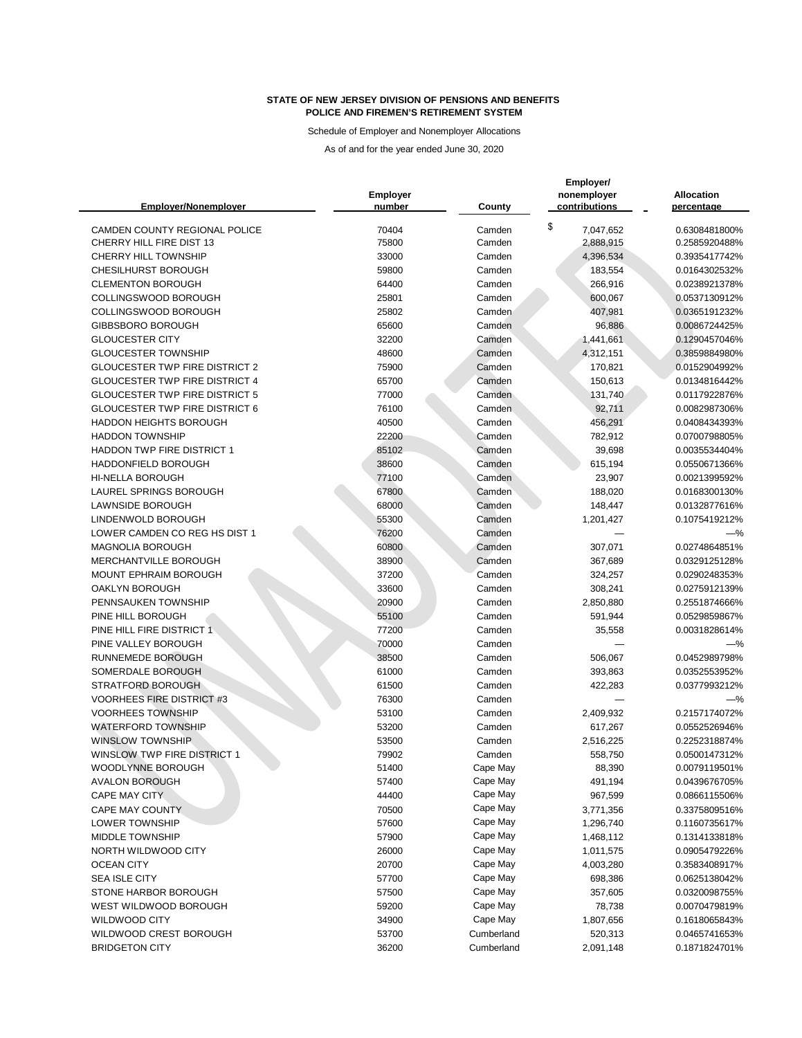Schedule of Employer and Nonemployer Allocations

| <b>Emplover/Nonemplover</b>               | <b>Employer</b><br>number | <b>County</b> | Employer/<br>nonemployer<br>contributions | <b>Allocation</b><br>percentage |
|-------------------------------------------|---------------------------|---------------|-------------------------------------------|---------------------------------|
| CAMDEN COUNTY REGIONAL POLICE             | 70404                     | Camden        | \$<br>7,047,652                           | 0.6308481800%                   |
| CHERRY HILL FIRE DIST 13                  | 75800                     | Camden        | 2,888,915                                 | 0.2585920488%                   |
| <b>CHERRY HILL TOWNSHIP</b>               | 33000                     | Camden        | 4,396,534                                 | 0.3935417742%                   |
| <b>CHESILHURST BOROUGH</b>                | 59800                     | Camden        | 183,554                                   | 0.0164302532%                   |
| <b>CLEMENTON BOROUGH</b>                  | 64400                     | Camden        | 266,916                                   | 0.0238921378%                   |
| COLLINGSWOOD BOROUGH                      | 25801                     | Camden        | 600,067                                   | 0.0537130912%                   |
| COLLINGSWOOD BOROUGH                      | 25802                     | Camden        | 407,981                                   | 0.0365191232%                   |
| <b>GIBBSBORO BOROUGH</b>                  | 65600                     | Camden        | 96,886                                    | 0.0086724425%                   |
| <b>GLOUCESTER CITY</b>                    | 32200                     | Camden        | 1,441,661                                 | 0.1290457046%                   |
| <b>GLOUCESTER TOWNSHIP</b>                | 48600                     | Camden        | 4,312,151                                 | 0.3859884980%                   |
| <b>GLOUCESTER TWP FIRE DISTRICT 2</b>     | 75900                     | Camden        | 170,821                                   | 0.0152904992%                   |
| <b>GLOUCESTER TWP FIRE DISTRICT 4</b>     | 65700                     | Camden        | 150,613                                   | 0.0134816442%                   |
| <b>GLOUCESTER TWP FIRE DISTRICT 5</b>     | 77000                     | Camden        | 131,740                                   | 0.0117922876%                   |
| <b>GLOUCESTER TWP FIRE DISTRICT 6</b>     | 76100                     | Camden        | 92,711                                    | 0.0082987306%                   |
| <b>HADDON HEIGHTS BOROUGH</b>             | 40500                     | Camden        | 456,291                                   | 0.0408434393%                   |
| <b>HADDON TOWNSHIP</b>                    | 22200                     | Camden        | 782,912                                   | 0.0700798805%                   |
| <b>HADDON TWP FIRE DISTRICT 1</b>         | 85102                     | Camden        | 39,698                                    | 0.0035534404%                   |
| <b>HADDONFIELD BOROUGH</b>                | 38600                     | Camden        | 615,194                                   | 0.0550671366%                   |
| <b>HI-NELLA BOROUGH</b>                   | 77100                     | Camden        | 23,907                                    | 0.0021399592%                   |
| <b>LAUREL SPRINGS BOROUGH</b>             | 67800                     | Camden        | 188,020                                   | 0.0168300130%                   |
| <b>LAWNSIDE BOROUGH</b>                   | 68000                     | Camden        | 148,447                                   | 0.0132877616%                   |
| LINDENWOLD BOROUGH                        | 55300                     | Camden        | 1,201,427                                 | 0.1075419212%                   |
| LOWER CAMDEN CO REG HS DIST 1             | 76200                     | Camden        |                                           | $-$ %                           |
| MAGNOLIA BOROUGH                          | 60800                     | Camden        | 307,071                                   | 0.0274864851%                   |
| MERCHANTVILLE BOROUGH                     | 38900                     | Camden        | 367,689                                   | 0.0329125128%                   |
| MOUNT EPHRAIM BOROUGH                     | 37200                     | Camden        | 324,257                                   | 0.0290248353%                   |
| <b>OAKLYN BOROUGH</b>                     | 33600                     | Camden        | 308,241                                   | 0.0275912139%                   |
| PENNSAUKEN TOWNSHIP                       | 20900                     | Camden        | 2,850,880                                 | 0.2551874666%                   |
| PINE HILL BOROUGH                         | 55100                     | Camden        | 591,944                                   | 0.0529859867%                   |
| PINE HILL FIRE DISTRICT 1                 | 77200                     | Camden        | 35,558                                    | 0.0031828614%                   |
| PINE VALLEY BOROUGH                       | 70000                     | Camden        |                                           | $-\%$                           |
| <b>RUNNEMEDE BOROUGH</b>                  | 38500                     | Camden        | 506,067                                   | 0.0452989798%                   |
| SOMERDALE BOROUGH                         | 61000                     | Camden        | 393,863                                   | 0.0352553952%                   |
| <b>STRATFORD BOROUGH</b>                  | 61500                     | Camden        | 422,283                                   | 0.0377993212%                   |
| <b>VOORHEES FIRE DISTRICT #3</b>          | 76300                     | Camden        |                                           | $-\%$                           |
| <b>VOORHEES TOWNSHIP</b>                  | 53100                     | Camden        | 2,409,932                                 | 0.2157174072%                   |
| <b>WATERFORD TOWNSHIP</b>                 | 53200                     | Camden        | 617,267                                   | 0.0552526946%                   |
| <b>WINSLOW TOWNSHIP</b>                   | 53500                     | Camden        | 2,516,225                                 | 0.2252318874%                   |
| <b>WINSLOW TWP FIRE DISTRICT 1</b>        | 79902                     | Camden        | 558,750                                   | 0.0500147312%                   |
| WOODLYNNE BOROUGH                         | 51400                     | Cape May      | 88,390                                    | 0.0079119501%                   |
| <b>AVALON BOROUGH</b>                     | 57400                     | Cape May      | 491,194                                   | 0.0439676705%                   |
| <b>CAPE MAY CITY</b>                      | 44400                     | Cape May      | 967,599                                   | 0.0866115506%                   |
| <b>CAPE MAY COUNTY</b>                    | 70500                     | Cape May      | 3,771,356                                 | 0.3375809516%                   |
| <b>LOWER TOWNSHIP</b>                     | 57600                     | Cape May      | 1,296,740                                 | 0.1160735617%                   |
| <b>MIDDLE TOWNSHIP</b>                    | 57900                     | Cape May      | 1,468,112                                 | 0.1314133818%                   |
| NORTH WILDWOOD CITY                       | 26000                     | Cape May      | 1,011,575                                 | 0.0905479226%                   |
|                                           |                           | Cape May      |                                           |                                 |
| <b>OCEAN CITY</b><br><b>SEA ISLE CITY</b> | 20700<br>57700            | Cape May      | 4,003,280                                 | 0.3583408917%                   |
|                                           |                           | Cape May      | 698,386                                   | 0.0625138042%                   |
| STONE HARBOR BOROUGH                      | 57500                     |               | 357,605                                   | 0.0320098755%                   |
| WEST WILDWOOD BOROUGH                     | 59200                     | Cape May      | 78,738                                    | 0.0070479819%                   |
| <b>WILDWOOD CITY</b>                      | 34900                     | Cape May      | 1,807,656                                 | 0.1618065843%                   |
| WILDWOOD CREST BOROUGH                    | 53700                     | Cumberland    | 520,313                                   | 0.0465741653%                   |
| <b>BRIDGETON CITY</b>                     | 36200                     | Cumberland    | 2,091,148                                 | 0.1871824701%                   |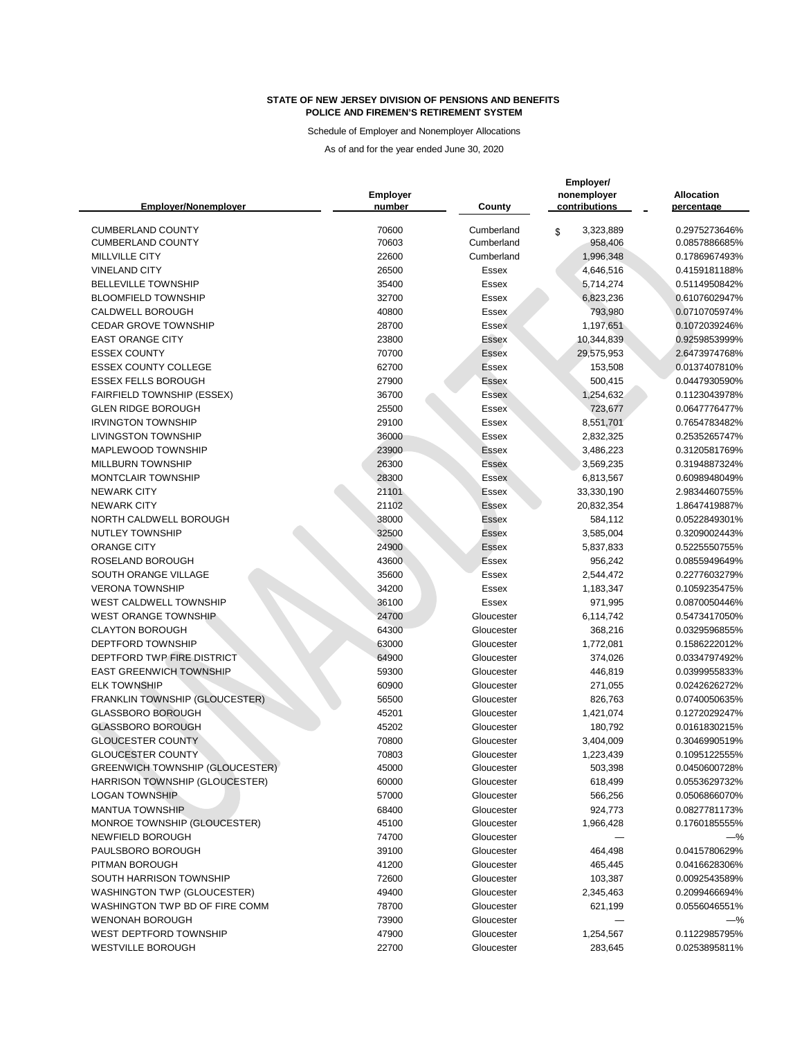Schedule of Employer and Nonemployer Allocations

| <b>Emplover/Nonemplover</b>                             | <b>Employer</b><br>number | <b>County</b>            | Employer/<br>nonemployer<br>contributions | <b>Allocation</b><br>percentage |
|---------------------------------------------------------|---------------------------|--------------------------|-------------------------------------------|---------------------------------|
| <b>CUMBERLAND COUNTY</b>                                | 70600                     | Cumberland               | 3,323,889<br>\$                           | 0.2975273646%                   |
| <b>CUMBERLAND COUNTY</b>                                | 70603                     | Cumberland               | 958,406                                   | 0.0857886685%                   |
| <b>MILLVILLE CITY</b>                                   | 22600                     | Cumberland               | 1,996,348                                 | 0.1786967493%                   |
| <b>VINELAND CITY</b>                                    | 26500                     | <b>Essex</b>             | 4,646,516                                 | 0.4159181188%                   |
| <b>BELLEVILLE TOWNSHIP</b>                              | 35400                     | <b>Essex</b>             | 5,714,274                                 | 0.5114950842%                   |
| <b>BLOOMFIELD TOWNSHIP</b>                              | 32700                     | <b>Essex</b>             | 6,823,236                                 | 0.6107602947%                   |
| <b>CALDWELL BOROUGH</b>                                 | 40800                     | Essex                    | 793,980                                   | 0.0710705974%                   |
| <b>CEDAR GROVE TOWNSHIP</b>                             | 28700                     | <b>Essex</b>             | 1,197,651                                 | 0.1072039246%                   |
| <b>EAST ORANGE CITY</b>                                 | 23800                     | <b>Essex</b>             | 10,344,839                                | 0.9259853999%                   |
| <b>ESSEX COUNTY</b>                                     | 70700                     | <b>Essex</b>             | 29,575,953                                | 2.6473974768%                   |
| <b>ESSEX COUNTY COLLEGE</b>                             | 62700                     | <b>Essex</b>             | 153,508                                   | 0.0137407810%                   |
| <b>ESSEX FELLS BOROUGH</b>                              | 27900                     | <b>Essex</b>             | 500,415                                   | 0.0447930590%                   |
| <b>FAIRFIELD TOWNSHIP (ESSEX)</b>                       | 36700                     | <b>Essex</b>             | 1,254,632                                 | 0.1123043978%                   |
| <b>GLEN RIDGE BOROUGH</b>                               | 25500                     | Essex                    | 723,677                                   | 0.0647776477%                   |
| <b>IRVINGTON TOWNSHIP</b>                               | 29100                     | <b>Essex</b>             | 8,551,701                                 | 0.7654783482%                   |
| <b>LIVINGSTON TOWNSHIP</b>                              | 36000                     | Essex                    | 2,832,325                                 | 0.2535265747%                   |
| MAPLEWOOD TOWNSHIP                                      | 23900                     | Essex                    | 3,486,223                                 | 0.3120581769%                   |
| MILLBURN TOWNSHIP                                       | 26300                     | <b>Essex</b>             | 3,569,235                                 | 0.3194887324%                   |
| <b>MONTCLAIR TOWNSHIP</b>                               | 28300                     | <b>Essex</b>             | 6,813,567                                 | 0.6098948049%                   |
| <b>NEWARK CITY</b>                                      | 21101                     | Essex                    | 33,330,190                                | 2.9834460755%                   |
| <b>NEWARK CITY</b>                                      | 21102                     | <b>Essex</b>             | 20,832,354                                | 1.8647419887%                   |
| NORTH CALDWELL BOROUGH                                  | 38000                     | <b>Essex</b>             | 584,112                                   | 0.0522849301%                   |
| <b>NUTLEY TOWNSHIP</b>                                  | 32500                     | <b>Essex</b>             | 3,585,004                                 | 0.3209002443%                   |
| <b>ORANGE CITY</b>                                      | 24900                     | <b>Essex</b>             | 5,837,833                                 | 0.5225550755%                   |
| ROSELAND BOROUGH                                        | 43600                     | Essex                    | 956,242                                   | 0.0855949649%                   |
| SOUTH ORANGE VILLAGE                                    | 35600                     | <b>Essex</b>             | 2,544,472                                 | 0.2277603279%                   |
| <b>VERONA TOWNSHIP</b>                                  | 34200                     | Essex                    | 1,183,347                                 | 0.1059235475%                   |
| WEST CALDWELL TOWNSHIP                                  | 36100                     | Essex                    | 971,995                                   | 0.0870050446%                   |
| <b>WEST ORANGE TOWNSHIP</b>                             | 24700                     | Gloucester               | 6,114,742                                 | 0.5473417050%                   |
| <b>CLAYTON BOROUGH</b>                                  | 64300                     | Gloucester               | 368,216                                   | 0.0329596855%                   |
| DEPTFORD TOWNSHIP                                       | 63000                     | Gloucester               | 1,772,081                                 | 0.1586222012%                   |
| DEPTFORD TWP FIRE DISTRICT                              | 64900                     | Gloucester               | 374,026                                   | 0.0334797492%                   |
| <b>EAST GREENWICH TOWNSHIP</b>                          | 59300                     | Gloucester               | 446,819                                   | 0.0399955833%                   |
| <b>ELK TOWNSHIP</b>                                     | 60900                     | Gloucester               | 271,055                                   | 0.0242626272%                   |
| FRANKLIN TOWNSHIP (GLOUCESTER)                          | 56500                     | Gloucester               | 826,763                                   | 0.0740050635%                   |
| <b>GLASSBORO BOROUGH</b>                                | 45201                     | Gloucester               | 1,421,074                                 | 0.1272029247%                   |
| <b>GLASSBORO BOROUGH</b>                                | 45202                     | Gloucester               | 180,792                                   | 0.0161830215%                   |
| <b>GLOUCESTER COUNTY</b>                                | 70800                     | Gloucester               | 3,404,009                                 | 0.3046990519%                   |
| <b>GLOUCESTER COUNTY</b>                                | 70803                     | Gloucester               | 1,223,439                                 | 0.1095122555%                   |
| GREENWICH TOWNSHIP (GLOUCESTER)                         | 45000                     | Gloucester               | 503,398                                   | 0.0450600728%                   |
| <b>HARRISON TOWNSHIP (GLOUCESTER)</b>                   | 60000                     | Gloucester               | 618,499                                   | 0.0553629732%                   |
| <b>LOGAN TOWNSHIP</b>                                   | 57000                     | Gloucester               | 566,256                                   | 0.0506866070%                   |
| <b>MANTUA TOWNSHIP</b>                                  | 68400                     | Gloucester               | 924,773                                   | 0.0827781173%                   |
| MONROE TOWNSHIP (GLOUCESTER)                            | 45100                     | Gloucester               | 1,966,428                                 | 0.1760185555%                   |
| NEWFIELD BOROUGH                                        | 74700                     | Gloucester               |                                           | $-\%$                           |
| PAULSBORO BOROUGH                                       | 39100                     | Gloucester               | 464,498                                   | 0.0415780629%                   |
| PITMAN BOROUGH                                          | 41200                     | Gloucester               | 465,445                                   | 0.0416628306%                   |
| SOUTH HARRISON TOWNSHIP                                 | 72600                     | Gloucester               |                                           | 0.0092543589%                   |
| <b>WASHINGTON TWP (GLOUCESTER)</b>                      | 49400                     | Gloucester               | 103,387<br>2,345,463                      | 0.2099466694%                   |
| WASHINGTON TWP BD OF FIRE COMM                          | 78700                     |                          |                                           | 0.0556046551%                   |
|                                                         |                           | Gloucester               | 621,199                                   |                                 |
| <b>WENONAH BOROUGH</b><br><b>WEST DEPTFORD TOWNSHIP</b> | 73900<br>47900            | Gloucester<br>Gloucester |                                           | —%<br>0.1122985795%             |
| <b>WESTVILLE BOROUGH</b>                                |                           |                          | 1,254,567                                 | 0.0253895811%                   |
|                                                         | 22700                     | Gloucester               | 283,645                                   |                                 |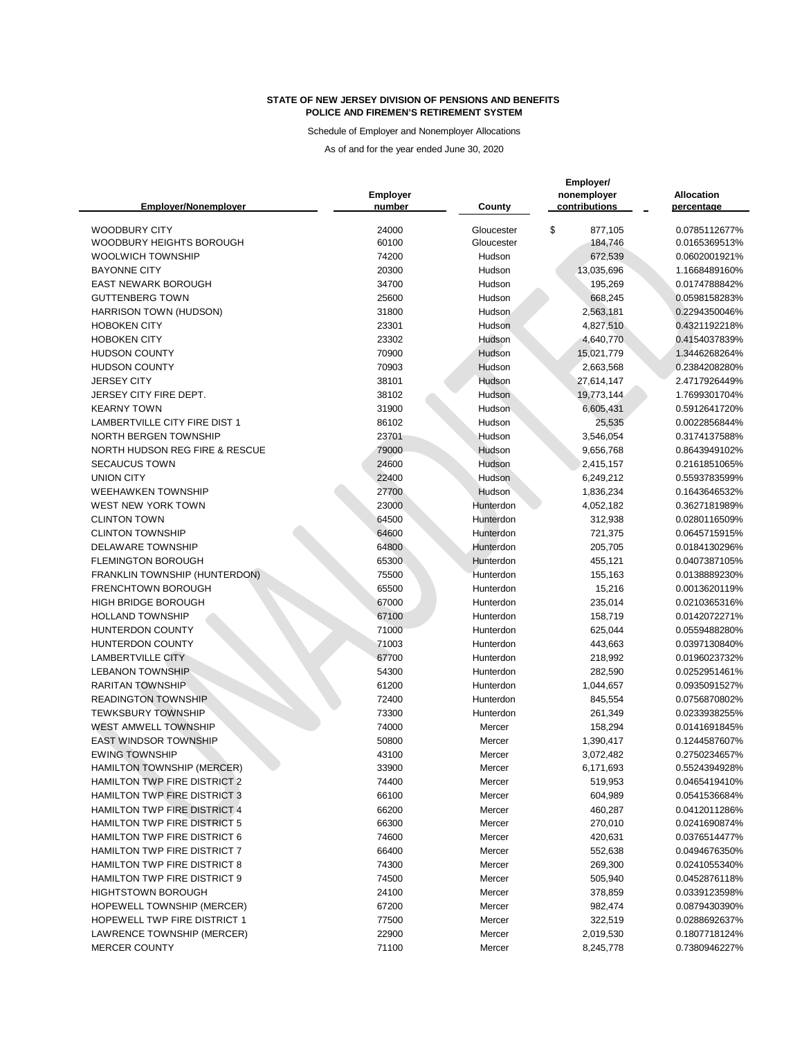Schedule of Employer and Nonemployer Allocations

| <b>Emplover/Nonemplover</b>               | <b>Employer</b><br>number | County           | Employer/<br>nonemployer<br>contributions | <b>Allocation</b><br>percentage |
|-------------------------------------------|---------------------------|------------------|-------------------------------------------|---------------------------------|
| <b>WOODBURY CITY</b>                      | 24000                     | Gloucester       | \$<br>877,105                             | 0.0785112677%                   |
| <b>WOODBURY HEIGHTS BOROUGH</b>           | 60100                     | Gloucester       | 184,746                                   | 0.0165369513%                   |
| <b>WOOLWICH TOWNSHIP</b>                  | 74200                     | Hudson           | 672,539                                   | 0.0602001921%                   |
| <b>BAYONNE CITY</b>                       | 20300                     | Hudson           | 13,035,696                                | 1.1668489160%                   |
| <b>EAST NEWARK BOROUGH</b>                | 34700                     | Hudson           | 195,269                                   | 0.0174788842%                   |
| <b>GUTTENBERG TOWN</b>                    | 25600                     | Hudson           | 668,245                                   | 0.0598158283%                   |
| HARRISON TOWN (HUDSON)                    | 31800                     | Hudson           | 2,563,181                                 | 0.2294350046%                   |
| <b>HOBOKEN CITY</b>                       | 23301                     | Hudson           | 4,827,510                                 | 0.4321192218%                   |
| <b>HOBOKEN CITY</b>                       | 23302                     | Hudson           | 4,640,770                                 | 0.4154037839%                   |
| <b>HUDSON COUNTY</b>                      | 70900                     | Hudson           | 15,021,779                                | 1.3446268264%                   |
| <b>HUDSON COUNTY</b>                      | 70903                     | Hudson           | 2,663,568                                 | 0.2384208280%                   |
| <b>JERSEY CITY</b>                        | 38101                     | Hudson           | 27,614,147                                | 2.4717926449%                   |
| JERSEY CITY FIRE DEPT.                    | 38102                     | Hudson           | 19,773,144                                | 1.7699301704%                   |
| <b>KEARNY TOWN</b>                        | 31900                     | Hudson           | 6,605,431                                 | 0.5912641720%                   |
| <b>LAMBERTVILLE CITY FIRE DIST 1</b>      | 86102                     | Hudson           | 25,535                                    | 0.0022856844%                   |
| NORTH BERGEN TOWNSHIP                     | 23701                     | Hudson           | 3,546,054                                 | 0.3174137588%                   |
| <b>NORTH HUDSON REG FIRE &amp; RESCUE</b> | 79000                     | Hudson           | 9,656,768                                 | 0.8643949102%                   |
| <b>SECAUCUS TOWN</b>                      | 24600                     | Hudson           | 2,415,157                                 | 0.2161851065%                   |
| <b>UNION CITY</b>                         | 22400                     | Hudson           | 6,249,212                                 | 0.5593783599%                   |
| <b>WEEHAWKEN TOWNSHIP</b>                 | 27700                     | <b>Hudson</b>    | 1,836,234                                 | 0.1643646532%                   |
| <b>WEST NEW YORK TOWN</b>                 | 23000                     | Hunterdon        | 4,052,182                                 | 0.3627181989%                   |
| <b>CLINTON TOWN</b>                       | 64500                     | Hunterdon        | 312,938                                   | 0.0280116509%                   |
| <b>CLINTON TOWNSHIP</b>                   | 64600                     | Hunterdon        | 721,375                                   | 0.0645715915%                   |
| <b>DELAWARE TOWNSHIP</b>                  | 64800                     | Hunterdon        | 205,705                                   | 0.0184130296%                   |
| <b>FLEMINGTON BOROUGH</b>                 | 65300                     | Hunterdon        | 455,121                                   | 0.0407387105%                   |
| FRANKLIN TOWNSHIP (HUNTERDON)             | 75500                     | Hunterdon        | 155,163                                   | 0.0138889230%                   |
| <b>FRENCHTOWN BOROUGH</b>                 | 65500                     | Hunterdon        | 15,216                                    | 0.0013620119%                   |
| <b>HIGH BRIDGE BOROUGH</b>                | 67000                     | Hunterdon        | 235,014                                   | 0.0210365316%                   |
| <b>HOLLAND TOWNSHIP</b>                   | 67100                     | Hunterdon        | 158,719                                   | 0.0142072271%                   |
| <b>HUNTERDON COUNTY</b>                   | 71000                     | Hunterdon        | 625,044                                   | 0.0559488280%                   |
| HUNTERDON COUNTY                          | 71003                     | Hunterdon        | 443,663                                   | 0.0397130840%                   |
| <b>LAMBERTVILLE CITY</b>                  | 67700                     | Hunterdon        | 218,992                                   | 0.0196023732%                   |
| <b>LEBANON TOWNSHIP</b>                   | 54300                     | Hunterdon        | 282,590                                   | 0.0252951461%                   |
| <b>RARITAN TOWNSHIP</b>                   | 61200                     | Hunterdon        | 1,044,657                                 | 0.0935091527%                   |
| <b>READINGTON TOWNSHIP</b>                | 72400                     | Hunterdon        | 845,554                                   | 0.0756870802%                   |
| <b>TEWKSBURY TOWNSHIP</b>                 | 73300                     | Hunterdon        | 261,349                                   | 0.0233938255%                   |
| <b>WEST AMWELL TOWNSHIP</b>               | 74000                     | Mercer           | 158,294                                   | 0.0141691845%                   |
| <b>EAST WINDSOR TOWNSHIP</b>              | 50800                     | Mercer           | 1,390,417                                 | 0.1244587607%                   |
| <b>EWING TOWNSHIP</b>                     | 43100                     | Mercer           | 3,072,482                                 | 0.2750234657%                   |
| <b>HAMILTON TOWNSHIP (MERCER)</b>         | 33900                     | Mercer           | 6,171,693                                 | 0.5524394928%                   |
| <b>HAMILTON TWP FIRE DISTRICT 2</b>       | 74400                     | Mercer           | 519,953                                   | 0.0465419410%                   |
| <b>HAMILTON TWP FIRE DISTRICT 3</b>       | 66100                     | Mercer           | 604,989                                   | 0.0541536684%                   |
| <b>HAMILTON TWP FIRE DISTRICT 4</b>       | 66200                     | Mercer           | 460,287                                   | 0.0412011286%                   |
| <b>HAMILTON TWP FIRE DISTRICT 5</b>       | 66300                     |                  | 270,010                                   | 0.0241690874%                   |
| HAMILTON TWP FIRE DISTRICT 6              | 74600                     | Mercer<br>Mercer | 420,631                                   |                                 |
| HAMILTON TWP FIRE DISTRICT 7              |                           |                  |                                           | 0.0376514477%                   |
|                                           | 66400                     | Mercer           | 552,638                                   | 0.0494676350%                   |
| <b>HAMILTON TWP FIRE DISTRICT 8</b>       | 74300                     | Mercer           | 269,300                                   | 0.0241055340%                   |
| <b>HAMILTON TWP FIRE DISTRICT 9</b>       | 74500                     | Mercer           | 505,940                                   | 0.0452876118%                   |
| <b>HIGHTSTOWN BOROUGH</b>                 | 24100                     | Mercer           | 378,859                                   | 0.0339123598%                   |
| HOPEWELL TOWNSHIP (MERCER)                | 67200                     | Mercer           | 982,474                                   | 0.0879430390%                   |
| HOPEWELL TWP FIRE DISTRICT 1              | 77500                     | Mercer           | 322,519                                   | 0.0288692637%                   |
| LAWRENCE TOWNSHIP (MERCER)                | 22900                     | Mercer           | 2,019,530                                 | 0.1807718124%                   |
| <b>MERCER COUNTY</b>                      | 71100                     | Mercer           | 8,245,778                                 | 0.7380946227%                   |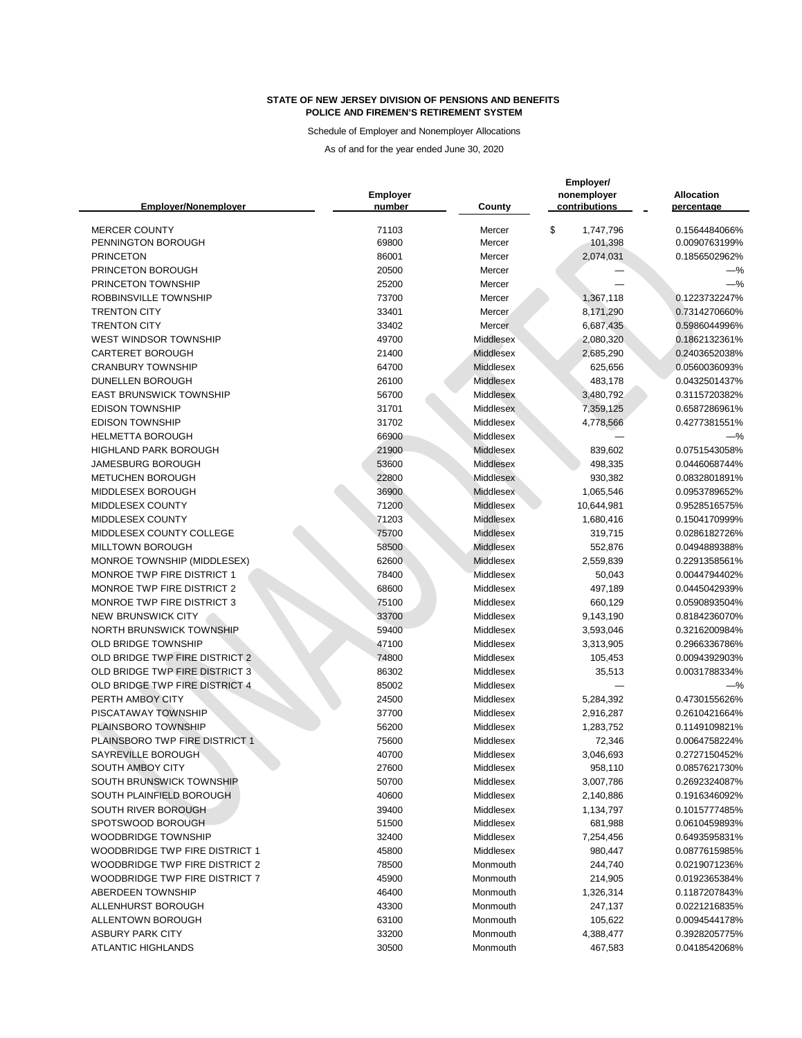Schedule of Employer and Nonemployer Allocations

| <b>Emplover/Nonemplover</b>           | <b>Employer</b><br>number | County           | Employer/<br>nonemployer<br>contributions | <b>Allocation</b><br>percentage |
|---------------------------------------|---------------------------|------------------|-------------------------------------------|---------------------------------|
|                                       |                           |                  |                                           |                                 |
| <b>MERCER COUNTY</b>                  | 71103                     | Mercer           | \$<br>1,747,796                           | 0.1564484066%                   |
| PENNINGTON BOROUGH                    | 69800                     | Mercer           | 101,398                                   | 0.0090763199%                   |
| <b>PRINCETON</b>                      | 86001                     | Mercer           | 2,074,031                                 | 0.1856502962%                   |
| PRINCETON BOROUGH                     | 20500                     | Mercer           |                                           | $-\%$                           |
| PRINCETON TOWNSHIP                    | 25200                     | Mercer           |                                           | $-\%$                           |
| ROBBINSVILLE TOWNSHIP                 | 73700                     | Mercer           | 1,367,118                                 | 0.1223732247%                   |
| <b>TRENTON CITY</b>                   | 33401                     | Mercer           | 8,171,290                                 | 0.7314270660%                   |
| <b>TRENTON CITY</b>                   | 33402                     | Mercer           | 6,687,435                                 | 0.5986044996%                   |
| <b>WEST WINDSOR TOWNSHIP</b>          | 49700                     | <b>Middlesex</b> | 2,080,320                                 | 0.1862132361%                   |
| <b>CARTERET BOROUGH</b>               | 21400                     | Middlesex        | 2,685,290                                 | 0.2403652038%                   |
| <b>CRANBURY TOWNSHIP</b>              | 64700                     | Middlesex        | 625,656                                   | 0.0560036093%                   |
| DUNELLEN BOROUGH                      | 26100                     | <b>Middlesex</b> | 483,178                                   | 0.0432501437%                   |
| <b>EAST BRUNSWICK TOWNSHIP</b>        | 56700                     | Middlesex        | 3,480,792                                 | 0.3115720382%                   |
| <b>EDISON TOWNSHIP</b>                | 31701                     | Middlesex        | 7,359,125                                 | 0.6587286961%                   |
| <b>EDISON TOWNSHIP</b>                | 31702                     | Middlesex        | 4,778,566                                 | 0.4277381551%                   |
| <b>HELMETTA BOROUGH</b>               | 66900                     | Middlesex        |                                           | $-\%$                           |
| <b>HIGHLAND PARK BOROUGH</b>          | 21900                     | Middlesex        | 839,602                                   | 0.0751543058%                   |
| <b>JAMESBURG BOROUGH</b>              | 53600                     | <b>Middlesex</b> | 498,335                                   | 0.0446068744%                   |
| <b>METUCHEN BOROUGH</b>               | 22800                     | Middlesex        | 930,382                                   | 0.0832801891%                   |
| MIDDLESEX BOROUGH                     | 36900                     | Middlesex        | 1,065,546                                 | 0.0953789652%                   |
| MIDDLESEX COUNTY                      | 71200                     | <b>Middlesex</b> | 10,644,981                                | 0.9528516575%                   |
| MIDDLESEX COUNTY                      | 71203                     | <b>Middlesex</b> | 1,680,416                                 | 0.1504170999%                   |
| MIDDLESEX COUNTY COLLEGE              | 75700                     | <b>Middlesex</b> | 319,715                                   | 0.0286182726%                   |
| <b>MILLTOWN BOROUGH</b>               | 58500                     | <b>Middlesex</b> | 552,876                                   | 0.0494889388%                   |
| MONROE TOWNSHIP (MIDDLESEX)           | 62600                     | Middlesex        | 2,559,839                                 | 0.2291358561%                   |
| MONROE TWP FIRE DISTRICT 1            | 78400                     | <b>Middlesex</b> | 50,043                                    | 0.0044794402%                   |
| <b>MONROE TWP FIRE DISTRICT 2</b>     | 68600                     | Middlesex        | 497,189                                   | 0.0445042939%                   |
| <b>MONROE TWP FIRE DISTRICT 3</b>     | 75100                     | Middlesex        | 660,129                                   | 0.0590893504%                   |
| <b>NEW BRUNSWICK CITY</b>             | 33700                     | Middlesex        | 9,143,190                                 | 0.8184236070%                   |
| <b>NORTH BRUNSWICK TOWNSHIP</b>       | 59400                     | Middlesex        | 3,593,046                                 | 0.3216200984%                   |
| <b>OLD BRIDGE TOWNSHIP</b>            | 47100                     | Middlesex        | 3,313,905                                 | 0.2966336786%                   |
| <b>OLD BRIDGE TWP FIRE DISTRICT 2</b> | 74800                     | Middlesex        | 105,453                                   | 0.0094392903%                   |
| OLD BRIDGE TWP FIRE DISTRICT 3        | 86302                     | Middlesex        | 35,513                                    | 0.0031788334%                   |
| OLD BRIDGE TWP FIRE DISTRICT 4        | 85002                     | Middlesex        |                                           | $-\%$                           |
| PERTH AMBOY CITY                      | 24500                     | Middlesex        | 5,284,392                                 | 0.4730155626%                   |
| PISCATAWAY TOWNSHIP                   | 37700                     | Middlesex        | 2,916,287                                 | 0.2610421664%                   |
| PLAINSBORO TOWNSHIP                   | 56200                     | Middlesex        | 1,283,752                                 | 0.1149109821%                   |
| PLAINSBORO TWP FIRE DISTRICT 1        | 75600                     | Middlesex        | 72,346                                    | 0.0064758224%                   |
| SAYREVILLE BOROUGH                    | 40700                     | Middlesex        | 3,046,693                                 | 0.2727150452%                   |
| <b>SOUTH AMBOY CITY</b>               | 27600                     | Middlesex        | 958,110                                   | 0.0857621730%                   |
| SOUTH BRUNSWICK TOWNSHIP              | 50700                     | Middlesex        | 3,007,786                                 | 0.2692324087%                   |
| SOUTH PLAINFIELD BOROUGH              | 40600                     | Middlesex        | 2,140,886                                 | 0.1916346092%                   |
| SOUTH RIVER BOROUGH                   | 39400                     | Middlesex        | 1,134,797                                 | 0.1015777485%                   |
| SPOTSWOOD BOROUGH                     | 51500                     | Middlesex        | 681,988                                   | 0.0610459893%                   |
| <b>WOODBRIDGE TOWNSHIP</b>            | 32400                     | Middlesex        | 7,254,456                                 | 0.6493595831%                   |
| <b>WOODBRIDGE TWP FIRE DISTRICT 1</b> | 45800                     | Middlesex        | 980,447                                   | 0.0877615985%                   |
| <b>WOODBRIDGE TWP FIRE DISTRICT 2</b> | 78500                     | Monmouth         | 244,740                                   | 0.0219071236%                   |
| <b>WOODBRIDGE TWP FIRE DISTRICT 7</b> | 45900                     | Monmouth         | 214,905                                   | 0.0192365384%                   |
| ABERDEEN TOWNSHIP                     | 46400                     | Monmouth         | 1,326,314                                 | 0.1187207843%                   |
| ALLENHURST BOROUGH                    | 43300                     | Monmouth         | 247,137                                   | 0.0221216835%                   |
| <b>ALLENTOWN BOROUGH</b>              | 63100                     | Monmouth         | 105,622                                   | 0.0094544178%                   |
| <b>ASBURY PARK CITY</b>               | 33200                     | Monmouth         | 4,388,477                                 | 0.3928205775%                   |
| <b>ATLANTIC HIGHLANDS</b>             | 30500                     | Monmouth         | 467,583                                   | 0.0418542068%                   |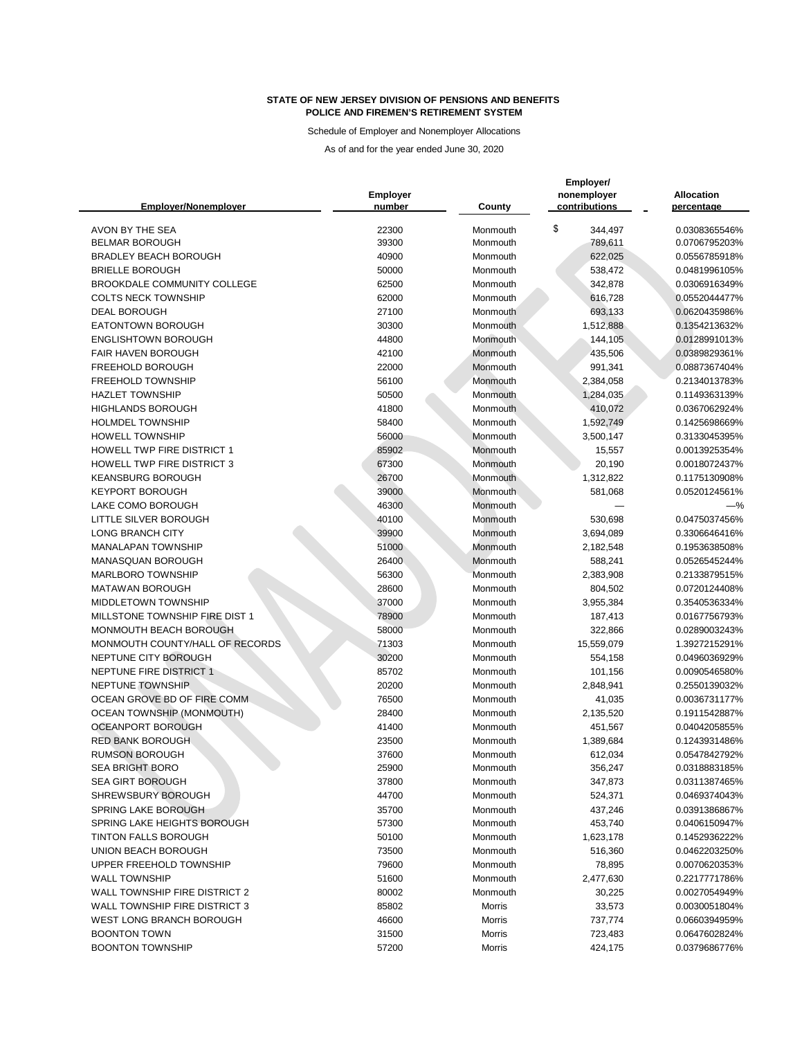Schedule of Employer and Nonemployer Allocations

| <b>Emplover/Nonemplover</b>          | Employer<br>number | <b>County</b>        | Employer/<br>nonemployer<br>contributions | <b>Allocation</b><br>percentage |
|--------------------------------------|--------------------|----------------------|-------------------------------------------|---------------------------------|
| AVON BY THE SEA                      | 22300              | Monmouth             | \$<br>344,497                             | 0.0308365546%                   |
| <b>BELMAR BOROUGH</b>                | 39300              | Monmouth             | 789,611                                   | 0.0706795203%                   |
| <b>BRADLEY BEACH BOROUGH</b>         | 40900              | Monmouth             | 622,025                                   | 0.0556785918%                   |
| <b>BRIELLE BOROUGH</b>               | 50000              | Monmouth             | 538,472                                   | 0.0481996105%                   |
| <b>BROOKDALE COMMUNITY COLLEGE</b>   | 62500              | Monmouth             | 342,878                                   | 0.0306916349%                   |
| <b>COLTS NECK TOWNSHIP</b>           | 62000              | Monmouth             | 616,728                                   | 0.0552044477%                   |
| <b>DEAL BOROUGH</b>                  | 27100              | Monmouth             | 693,133                                   | 0.0620435986%                   |
| <b>EATONTOWN BOROUGH</b>             | 30300              | Monmouth             | 1,512,888                                 | 0.1354213632%                   |
| <b>ENGLISHTOWN BOROUGH</b>           | 44800              | Monmouth             | 144,105                                   | 0.0128991013%                   |
| <b>FAIR HAVEN BOROUGH</b>            | 42100              | Monmouth             | 435,506                                   | 0.0389829361%                   |
| FREEHOLD BOROUGH                     | 22000              | Monmouth             | 991,341                                   | 0.0887367404%                   |
| <b>FREEHOLD TOWNSHIP</b>             | 56100              | Monmouth             | 2,384,058                                 | 0.2134013783%                   |
| <b>HAZLET TOWNSHIP</b>               | 50500              | Monmouth             | 1,284,035                                 | 0.1149363139%                   |
| <b>HIGHLANDS BOROUGH</b>             | 41800              | Monmouth             | 410,072                                   | 0.0367062924%                   |
| <b>HOLMDEL TOWNSHIP</b>              | 58400              | Monmouth             | 1,592,749                                 | 0.1425698669%                   |
| <b>HOWELL TOWNSHIP</b>               | 56000              | Monmouth             | 3,500,147                                 | 0.3133045395%                   |
| <b>HOWELL TWP FIRE DISTRICT 1</b>    | 85902              | Monmouth             | 15,557                                    | 0.0013925354%                   |
| <b>HOWELL TWP FIRE DISTRICT 3</b>    | 67300              | Monmouth             | 20,190                                    | 0.0018072437%                   |
| <b>KEANSBURG BOROUGH</b>             | 26700              | Monmouth             | 1,312,822                                 | 0.1175130908%                   |
| <b>KEYPORT BOROUGH</b>               | 39000              | Monmouth             | 581,068                                   | 0.0520124561%                   |
| LAKE COMO BOROUGH                    | 46300              | Monmouth             |                                           | $-$ %                           |
| LITTLE SILVER BOROUGH                | 40100              | Monmouth             | 530,698                                   | 0.0475037456%                   |
| <b>LONG BRANCH CITY</b>              | 39900              | Monmouth             | 3,694,089                                 | 0.3306646416%                   |
| <b>MANALAPAN TOWNSHIP</b>            | 51000              | Monmouth             | 2,182,548                                 | 0.1953638508%                   |
| MANASQUAN BOROUGH                    | 26400              | Monmouth             | 588,241                                   | 0.0526545244%                   |
| <b>MARLBORO TOWNSHIP</b>             | 56300              | Monmouth             | 2,383,908                                 | 0.2133879515%                   |
| <b>MATAWAN BOROUGH</b>               | 28600              | Monmouth             | 804,502                                   | 0.0720124408%                   |
| <b>MIDDLETOWN TOWNSHIP</b>           | 37000              | Monmouth             | 3,955,384                                 | 0.3540536334%                   |
| MILLSTONE TOWNSHIP FIRE DIST 1       | 78900              | Monmouth             | 187,413                                   | 0.0167756793%                   |
| MONMOUTH BEACH BOROUGH               | 58000              | Monmouth             | 322,866                                   | 0.0289003243%                   |
| MONMOUTH COUNTY/HALL OF RECORDS      | 71303              | Monmouth             | 15,559,079                                | 1.3927215291%                   |
| NEPTUNE CITY BOROUGH                 | 30200              | Monmouth             | 554,158                                   | 0.0496036929%                   |
| NEPTUNE FIRE DISTRICT 1              | 85702              | Monmouth             | 101,156                                   | 0.0090546580%                   |
| NEPTUNE TOWNSHIP                     | 20200              | Monmouth             | 2,848,941                                 | 0.2550139032%                   |
| OCEAN GROVE BD OF FIRE COMM          | 76500              | Monmouth             | 41,035                                    | 0.0036731177%                   |
| <b>OCEAN TOWNSHIP (MONMOUTH)</b>     | 28400              | Monmouth             | 2,135,520                                 | 0.1911542887%                   |
| <b>OCEANPORT BOROUGH</b>             | 41400              |                      | 451,567                                   | 0.0404205855%                   |
| <b>RED BANK BOROUGH</b>              |                    | Monmouth<br>Monmouth |                                           |                                 |
| <b>RUMSON BOROUGH</b>                | 23500<br>37600     | Monmouth             | 1,389,684                                 | 0.1243931486%                   |
| <b>SEA BRIGHT BORO</b>               |                    |                      | 612,034                                   | 0.0547842792%                   |
| <b>SEA GIRT BOROUGH</b>              | 25900              | Monmouth             | 356,247                                   | 0.0318883185%                   |
| SHREWSBURY BOROUGH                   | 37800              | Monmouth             | 347,873                                   | 0.0311387465%                   |
| <b>SPRING LAKE BOROUGH</b>           | 44700              | Monmouth             | 524,371                                   | 0.0469374043%                   |
|                                      | 35700              | Monmouth             | 437,246                                   | 0.0391386867%                   |
| SPRING LAKE HEIGHTS BOROUGH          | 57300              | Monmouth             | 453,740                                   | 0.0406150947%                   |
| <b>TINTON FALLS BOROUGH</b>          | 50100              | Monmouth             | 1,623,178                                 | 0.1452936222%                   |
| UNION BEACH BOROUGH                  | 73500              | Monmouth             | 516,360                                   | 0.0462203250%                   |
| UPPER FREEHOLD TOWNSHIP              | 79600              | Monmouth             | 78,895                                    | 0.0070620353%                   |
| <b>WALL TOWNSHIP</b>                 | 51600              | Monmouth             | 2,477,630                                 | 0.2217771786%                   |
| WALL TOWNSHIP FIRE DISTRICT 2        | 80002              | Monmouth             | 30,225                                    | 0.0027054949%                   |
| <b>WALL TOWNSHIP FIRE DISTRICT 3</b> | 85802              | Morris               | 33,573                                    | 0.0030051804%                   |
| <b>WEST LONG BRANCH BOROUGH</b>      | 46600              | <b>Morris</b>        | 737,774                                   | 0.0660394959%                   |
| <b>BOONTON TOWN</b>                  | 31500              | <b>Morris</b>        | 723,483                                   | 0.0647602824%                   |
| <b>BOONTON TOWNSHIP</b>              | 57200              | <b>Morris</b>        | 424,175                                   | 0.0379686776%                   |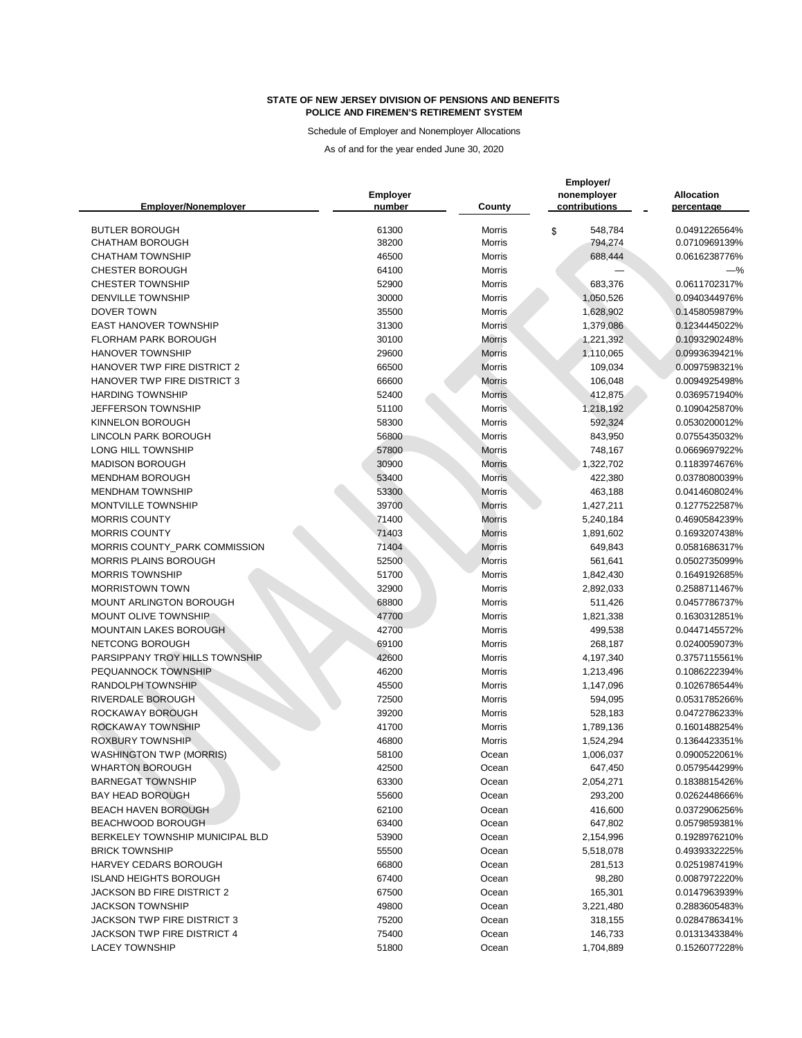Schedule of Employer and Nonemployer Allocations

| <b>Employer/Nonemployer</b>        | <b>Employer</b><br>number | County        | Employer/<br>nonemployer<br>contributions | <b>Allocation</b><br>percentage |
|------------------------------------|---------------------------|---------------|-------------------------------------------|---------------------------------|
|                                    |                           |               |                                           |                                 |
| <b>BUTLER BOROUGH</b>              | 61300                     | <b>Morris</b> | 548,784<br>\$                             | 0.0491226564%                   |
| <b>CHATHAM BOROUGH</b>             | 38200                     | Morris        | 794,274                                   | 0.0710969139%                   |
| <b>CHATHAM TOWNSHIP</b>            | 46500                     | Morris        | 688,444                                   | 0.0616238776%                   |
| <b>CHESTER BOROUGH</b>             | 64100                     | <b>Morris</b> |                                           | -%                              |
| <b>CHESTER TOWNSHIP</b>            | 52900                     | <b>Morris</b> | 683,376                                   | 0.0611702317%                   |
| <b>DENVILLE TOWNSHIP</b>           | 30000                     | <b>Morris</b> | 1,050,526                                 | 0.0940344976%                   |
| <b>DOVER TOWN</b>                  | 35500                     | Morris        | 1,628,902                                 | 0.1458059879%                   |
| <b>EAST HANOVER TOWNSHIP</b>       | 31300                     | <b>Morris</b> | 1,379,086                                 | 0.1234445022%                   |
| <b>FLORHAM PARK BOROUGH</b>        | 30100                     | <b>Morris</b> | 1,221,392                                 | 0.1093290248%                   |
| <b>HANOVER TOWNSHIP</b>            | 29600                     | <b>Morris</b> | 1,110,065                                 | 0.0993639421%                   |
| HANOVER TWP FIRE DISTRICT 2        | 66500                     | Morris        | 109,034                                   | 0.0097598321%                   |
| HANOVER TWP FIRE DISTRICT 3        | 66600                     | <b>Morris</b> | 106,048                                   | 0.0094925498%                   |
| <b>HARDING TOWNSHIP</b>            | 52400                     | <b>Morris</b> | 412,875                                   | 0.0369571940%                   |
| JEFFERSON TOWNSHIP                 | 51100                     | <b>Morris</b> | 1,218,192                                 | 0.1090425870%                   |
| KINNELON BOROUGH                   | 58300                     | Morris        | 592,324                                   | 0.0530200012%                   |
| <b>LINCOLN PARK BOROUGH</b>        | 56800                     | Morris        | 843,950                                   | 0.0755435032%                   |
| <b>LONG HILL TOWNSHIP</b>          | 57800                     | <b>Morris</b> | 748,167                                   | 0.0669697922%                   |
| <b>MADISON BOROUGH</b>             | 30900                     | <b>Morris</b> | 1,322,702                                 | 0.1183974676%                   |
| <b>MENDHAM BOROUGH</b>             | 53400                     | <b>Morris</b> | 422,380                                   | 0.0378080039%                   |
| <b>MENDHAM TOWNSHIP</b>            | 53300                     | <b>Morris</b> | 463,188                                   | 0.0414608024%                   |
| <b>MONTVILLE TOWNSHIP</b>          | 39700                     | <b>Morris</b> | 1,427,211                                 | 0.1277522587%                   |
| <b>MORRIS COUNTY</b>               | 71400                     | <b>Morris</b> | 5,240,184                                 | 0.4690584239%                   |
| <b>MORRIS COUNTY</b>               | 71403                     | <b>Morris</b> | 1,891,602                                 | 0.1693207438%                   |
| MORRIS COUNTY_PARK COMMISSION      | 71404                     | <b>Morris</b> | 649,843                                   | 0.0581686317%                   |
| MORRIS PLAINS BOROUGH              | 52500                     | Morris        | 561,641                                   | 0.0502735099%                   |
| <b>MORRIS TOWNSHIP</b>             | 51700                     | <b>Morris</b> | 1,842,430                                 | 0.1649192685%                   |
| <b>MORRISTOWN TOWN</b>             | 32900                     | <b>Morris</b> | 2,892,033                                 | 0.2588711467%                   |
| <b>MOUNT ARLINGTON BOROUGH</b>     | 68800                     | Morris        | 511,426                                   | 0.0457786737%                   |
| MOUNT OLIVE TOWNSHIP               | 47700                     | <b>Morris</b> | 1,821,338                                 | 0.1630312851%                   |
| <b>MOUNTAIN LAKES BOROUGH</b>      | 42700                     | <b>Morris</b> | 499,538                                   | 0.0447145572%                   |
| NETCONG BOROUGH                    | 69100                     | <b>Morris</b> | 268,187                                   | 0.0240059073%                   |
| PARSIPPANY TROY HILLS TOWNSHIP     | 42600                     | <b>Morris</b> | 4,197,340                                 | 0.3757115561%                   |
| PEQUANNOCK TOWNSHIP                | 46200                     | <b>Morris</b> | 1,213,496                                 | 0.1086222394%                   |
| RANDOLPH TOWNSHIP                  | 45500                     | Morris        | 1,147,096                                 | 0.1026786544%                   |
| RIVERDALE BOROUGH                  | 72500                     | <b>Morris</b> | 594,095                                   | 0.0531785266%                   |
| ROCKAWAY BOROUGH                   | 39200                     | <b>Morris</b> | 528,183                                   | 0.0472786233%                   |
| ROCKAWAY TOWNSHIP                  | 41700                     | <b>Morris</b> | 1,789,136                                 | 0.1601488254%                   |
| <b>ROXBURY TOWNSHIP</b>            | 46800                     | <b>Morris</b> | 1,524,294                                 | 0.1364423351%                   |
| <b>WASHINGTON TWP (MORRIS)</b>     | 58100                     | Ocean         | 1,006,037                                 | 0.0900522061%                   |
| <b>WHARTON BOROUGH</b>             | 42500                     | Ocean         | 647,450                                   | 0.0579544299%                   |
| <b>BARNEGAT TOWNSHIP</b>           | 63300                     | Ocean         | 2,054,271                                 | 0.1838815426%                   |
| <b>BAY HEAD BOROUGH</b>            | 55600                     | Ocean         | 293,200                                   | 0.0262448666%                   |
| <b>BEACH HAVEN BOROUGH</b>         | 62100                     | Ocean         | 416,600                                   | 0.0372906256%                   |
| BEACHWOOD BOROUGH                  | 63400                     | Ocean         | 647,802                                   | 0.0579859381%                   |
| BERKELEY TOWNSHIP MUNICIPAL BLD    | 53900                     | Ocean         | 2,154,996                                 | 0.1928976210%                   |
| <b>BRICK TOWNSHIP</b>              | 55500                     | Ocean         | 5,518,078                                 | 0.4939332225%                   |
| HARVEY CEDARS BOROUGH              | 66800                     | Ocean         | 281,513                                   | 0.0251987419%                   |
| <b>ISLAND HEIGHTS BOROUGH</b>      | 67400                     | Ocean         | 98,280                                    | 0.0087972220%                   |
| JACKSON BD FIRE DISTRICT 2         | 67500                     | Ocean         | 165,301                                   | 0.0147963939%                   |
| <b>JACKSON TOWNSHIP</b>            | 49800                     | Ocean         | 3,221,480                                 | 0.2883605483%                   |
| <b>JACKSON TWP FIRE DISTRICT 3</b> | 75200                     | Ocean         | 318,155                                   | 0.0284786341%                   |
| <b>JACKSON TWP FIRE DISTRICT 4</b> | 75400                     | Ocean         | 146,733                                   | 0.0131343384%                   |
| <b>LACEY TOWNSHIP</b>              | 51800                     | Ocean         | 1,704,889                                 | 0.1526077228%                   |
|                                    |                           |               |                                           |                                 |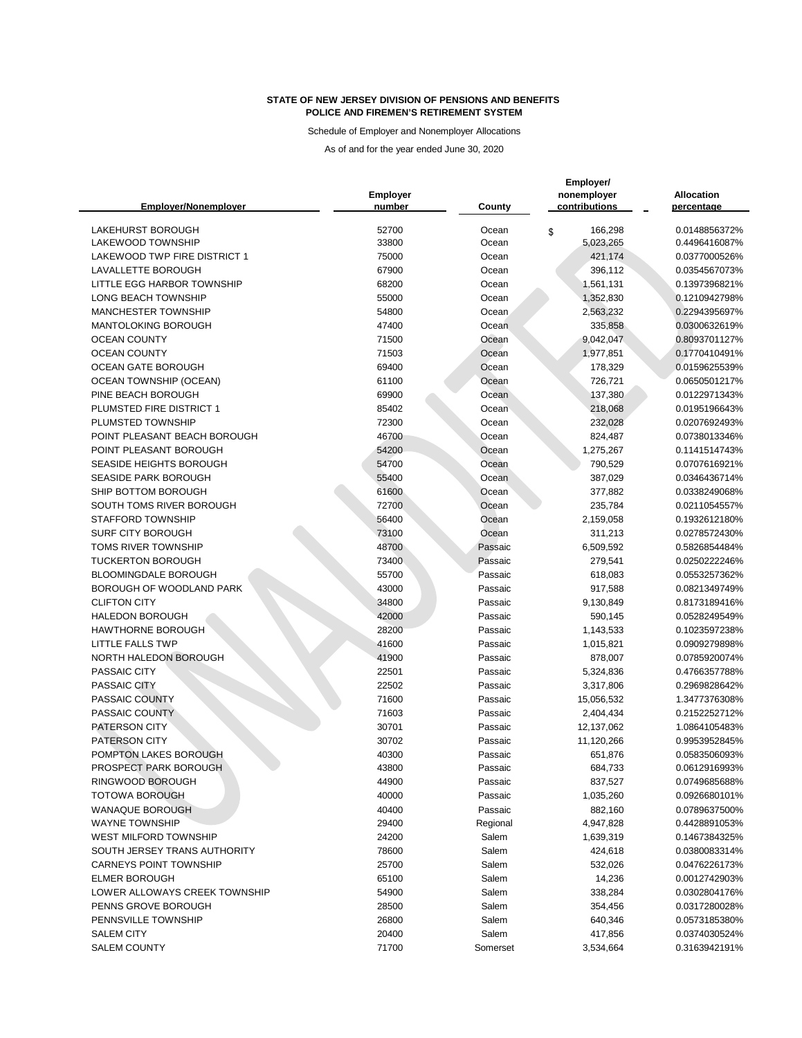Schedule of Employer and Nonemployer Allocations

|                                     | <b>Employer</b> |                    | Employer/<br>nonemployer | <b>Allocation</b> |
|-------------------------------------|-----------------|--------------------|--------------------------|-------------------|
| <b>Emplover/Nonemplover</b>         | number          | County             | contributions            | percentage        |
| <b>LAKEHURST BOROUGH</b>            | 52700           | Ocean              | 166,298<br>\$            | 0.0148856372%     |
| <b>LAKEWOOD TOWNSHIP</b>            | 33800           | Ocean              | 5,023,265                | 0.4496416087%     |
| <b>LAKEWOOD TWP FIRE DISTRICT 1</b> | 75000           | Ocean              | 421,174                  | 0.0377000526%     |
| LAVALLETTE BOROUGH                  | 67900           | Ocean              | 396,112                  | 0.0354567073%     |
| <b>LITTLE EGG HARBOR TOWNSHIP</b>   | 68200           | Ocean              | 1,561,131                | 0.1397396821%     |
| <b>LONG BEACH TOWNSHIP</b>          | 55000           | Ocean              | 1,352,830                | 0.1210942798%     |
| <b>MANCHESTER TOWNSHIP</b>          | 54800           | Ocean              | 2,563,232                | 0.2294395697%     |
| <b>MANTOLOKING BOROUGH</b>          | 47400           | Ocean              | 335,858                  | 0.0300632619%     |
| <b>OCEAN COUNTY</b>                 | 71500           | Ocean              | 9,042,047                | 0.8093701127%     |
| <b>OCEAN COUNTY</b>                 | 71503           | Ocean              | 1,977,851                | 0.1770410491%     |
| <b>OCEAN GATE BOROUGH</b>           | 69400           | Ocean              | 178,329                  | 0.0159625539%     |
| <b>OCEAN TOWNSHIP (OCEAN)</b>       | 61100           | Ocean              | 726,721                  | 0.0650501217%     |
| PINE BEACH BOROUGH                  | 69900           | Ocean              | 137,380                  | 0.0122971343%     |
| PLUMSTED FIRE DISTRICT 1            | 85402           | Ocean              | 218,068                  | 0.0195196643%     |
| PLUMSTED TOWNSHIP                   | 72300           | Ocean              | 232,028                  | 0.0207692493%     |
| POINT PLEASANT BEACH BOROUGH        | 46700           | Ocean              | 824,487                  | 0.0738013346%     |
| POINT PLEASANT BOROUGH              | 54200           | Ocean              | 1,275,267                | 0.1141514743%     |
| SEASIDE HEIGHTS BOROUGH             | 54700           | Ocean              | 790,529                  | 0.0707616921%     |
| <b>SEASIDE PARK BOROUGH</b>         | 55400           | Ocean              | 387,029                  | 0.0346436714%     |
| SHIP BOTTOM BOROUGH                 | 61600           | Ocean              | 377,882                  | 0.0338249068%     |
| SOUTH TOMS RIVER BOROUGH            | 72700           | Ocean              | 235,784                  | 0.0211054557%     |
| <b>STAFFORD TOWNSHIP</b>            | 56400           | Ocean              | 2,159,058                | 0.1932612180%     |
| <b>SURF CITY BOROUGH</b>            | 73100           | Ocean              | 311,213                  | 0.0278572430%     |
| <b>TOMS RIVER TOWNSHIP</b>          | 48700           | Passaic            | 6,509,592                | 0.5826854484%     |
| <b>TUCKERTON BOROUGH</b>            | 73400           | Passaic            | 279,541                  | 0.0250222246%     |
| <b>BLOOMINGDALE BOROUGH</b>         | 55700           | Passaic            | 618,083                  | 0.0553257362%     |
| BOROUGH OF WOODLAND PARK            | 43000           | Passaic            | 917,588                  | 0.0821349749%     |
| <b>CLIFTON CITY</b>                 | 34800           | Passaic            | 9,130,849                | 0.8173189416%     |
| <b>HALEDON BOROUGH</b>              | 42000           | Passaic            | 590,145                  | 0.0528249549%     |
| <b>HAWTHORNE BOROUGH</b>            | 28200           | Passaic            | 1,143,533                | 0.1023597238%     |
| <b>LITTLE FALLS TWP</b>             | 41600           | Passaic            | 1,015,821                | 0.0909279898%     |
| NORTH HALEDON BOROUGH               | 41900           | Passaic            | 878,007                  | 0.0785920074%     |
| PASSAIC CITY                        | 22501           | Passaic            | 5,324,836                | 0.4766357788%     |
| PASSAIC CITY                        | 22502           | Passaic            | 3,317,806                | 0.2969828642%     |
| PASSAIC COUNTY                      | 71600           | Passaic            | 15,056,532               | 1.3477376308%     |
| PASSAIC COUNTY                      | 71603           | Passaic            | 2,404,434                | 0.2152252712%     |
| PATERSON CITY                       | 30701           |                    | 12,137,062               | 1.0864105483%     |
| PATERSON CITY                       | 30702           | Passaic<br>Passaic |                          | 0.9953952845%     |
| POMPTON LAKES BOROUGH               | 40300           |                    | 11,120,266               | 0.0583506093%     |
| PROSPECT PARK BOROUGH               |                 | Passaic            | 651,876                  |                   |
| RINGWOOD BOROUGH                    | 43800           | Passaic            | 684,733                  | 0.0612916993%     |
| <b>TOTOWA BOROUGH</b>               | 44900           | Passaic            | 837,527                  | 0.0749685688%     |
|                                     | 40000           | Passaic            | 1,035,260                | 0.0926680101%     |
| <b>WANAQUE BOROUGH</b>              | 40400           | Passaic            | 882,160                  | 0.0789637500%     |
| <b>WAYNE TOWNSHIP</b>               | 29400           | Regional           | 4,947,828                | 0.4428891053%     |
| <b>WEST MILFORD TOWNSHIP</b>        | 24200           | Salem              | 1,639,319                | 0.1467384325%     |
| SOUTH JERSEY TRANS AUTHORITY        | 78600           | Salem              | 424,618                  | 0.0380083314%     |
| <b>CARNEYS POINT TOWNSHIP</b>       | 25700           | Salem              | 532,026                  | 0.0476226173%     |
| <b>ELMER BOROUGH</b>                | 65100           | Salem              | 14,236                   | 0.0012742903%     |
| LOWER ALLOWAYS CREEK TOWNSHIP       | 54900           | Salem              | 338,284                  | 0.0302804176%     |
| PENNS GROVE BOROUGH                 | 28500           | Salem              | 354,456                  | 0.0317280028%     |
| PENNSVILLE TOWNSHIP                 | 26800           | Salem              | 640,346                  | 0.0573185380%     |
| <b>SALEM CITY</b>                   | 20400           | Salem              | 417,856                  | 0.0374030524%     |
| <b>SALEM COUNTY</b>                 | 71700           | Somerset           | 3,534,664                | 0.3163942191%     |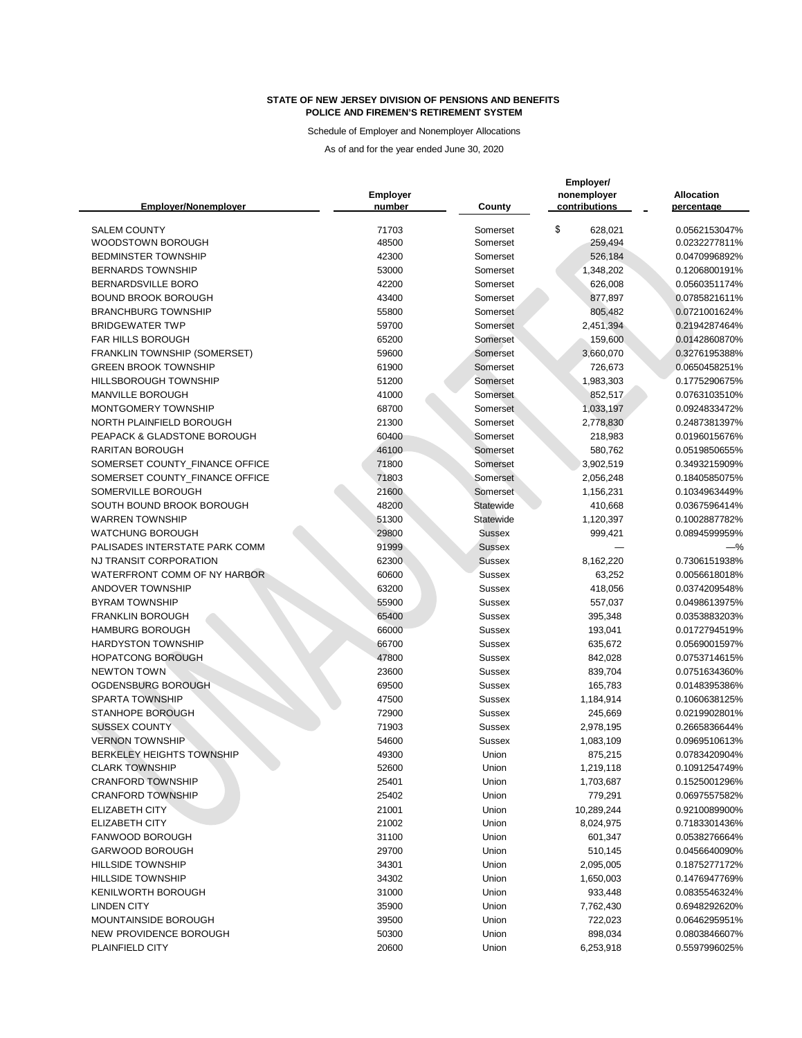Schedule of Employer and Nonemployer Allocations

|                                  |                           |               | Employer/                    |                                 |  |
|----------------------------------|---------------------------|---------------|------------------------------|---------------------------------|--|
| <b>Emplover/Nonemplover</b>      | <b>Employer</b><br>number | <b>County</b> | nonemployer<br>contributions | <b>Allocation</b><br>percentage |  |
|                                  |                           |               |                              |                                 |  |
| <b>SALEM COUNTY</b>              | 71703                     | Somerset      | \$<br>628,021                | 0.0562153047%                   |  |
| WOODSTOWN BOROUGH                | 48500                     | Somerset      | 259,494                      | 0.0232277811%                   |  |
| <b>BEDMINSTER TOWNSHIP</b>       | 42300                     | Somerset      | 526,184                      | 0.0470996892%                   |  |
| <b>BERNARDS TOWNSHIP</b>         | 53000                     | Somerset      | 1,348,202                    | 0.1206800191%                   |  |
| <b>BERNARDSVILLE BORO</b>        | 42200                     | Somerset      | 626,008                      | 0.0560351174%                   |  |
| <b>BOUND BROOK BOROUGH</b>       | 43400                     | Somerset      | 877,897                      | 0.0785821611%                   |  |
| <b>BRANCHBURG TOWNSHIP</b>       | 55800                     | Somerset      | 805,482                      | 0.0721001624%                   |  |
| <b>BRIDGEWATER TWP</b>           | 59700                     | Somerset      | 2,451,394                    | 0.2194287464%                   |  |
| <b>FAR HILLS BOROUGH</b>         | 65200                     | Somerset      | 159,600                      | 0.0142860870%                   |  |
| FRANKLIN TOWNSHIP (SOMERSET)     | 59600                     | Somerset      | 3,660,070                    | 0.3276195388%                   |  |
| <b>GREEN BROOK TOWNSHIP</b>      | 61900                     | Somerset      | 726,673                      | 0.0650458251%                   |  |
| HILLSBOROUGH TOWNSHIP            | 51200                     | Somerset      | 1,983,303                    | 0.1775290675%                   |  |
| <b>MANVILLE BOROUGH</b>          | 41000                     | Somerset      | 852,517                      | 0.0763103510%                   |  |
| MONTGOMERY TOWNSHIP              | 68700                     | Somerset      | 1,033,197                    | 0.0924833472%                   |  |
| NORTH PLAINFIELD BOROUGH         | 21300                     | Somerset      | 2,778,830                    | 0.2487381397%                   |  |
| PEAPACK & GLADSTONE BOROUGH      | 60400                     | Somerset      | 218,983                      | 0.0196015676%                   |  |
| <b>RARITAN BOROUGH</b>           | 46100                     | Somerset      | 580,762                      | 0.0519850655%                   |  |
| SOMERSET COUNTY_FINANCE OFFICE   | 71800                     | Somerset      | 3,902,519                    | 0.3493215909%                   |  |
| SOMERSET COUNTY_FINANCE OFFICE   | 71803                     | Somerset      | 2,056,248                    | 0.1840585075%                   |  |
| SOMERVILLE BOROUGH               | 21600                     | Somerset      | 1,156,231                    | 0.1034963449%                   |  |
| SOUTH BOUND BROOK BOROUGH        | 48200                     | Statewide     | 410,668                      | 0.0367596414%                   |  |
| <b>WARREN TOWNSHIP</b>           | 51300                     | Statewide     | 1,120,397                    | 0.1002887782%                   |  |
| <b>WATCHUNG BOROUGH</b>          | 29800                     | <b>Sussex</b> | 999,421                      | 0.0894599959%                   |  |
| PALISADES INTERSTATE PARK COMM   | 91999                     | <b>Sussex</b> |                              | $-\%$                           |  |
| NJ TRANSIT CORPORATION           | 62300                     | <b>Sussex</b> | 8,162,220                    | 0.7306151938%                   |  |
| WATERFRONT COMM OF NY HARBOR     | 60600                     | Sussex        | 63,252                       | 0.0056618018%                   |  |
| <b>ANDOVER TOWNSHIP</b>          | 63200                     | <b>Sussex</b> | 418,056                      | 0.0374209548%                   |  |
| <b>BYRAM TOWNSHIP</b>            | 55900                     | <b>Sussex</b> | 557,037                      | 0.0498613975%                   |  |
| <b>FRANKLIN BOROUGH</b>          | 65400                     | Sussex        | 395,348                      | 0.0353883203%                   |  |
| <b>HAMBURG BOROUGH</b>           | 66000                     | <b>Sussex</b> | 193,041                      | 0.0172794519%                   |  |
| <b>HARDYSTON TOWNSHIP</b>        | 66700                     | Sussex        | 635,672                      | 0.0569001597%                   |  |
| <b>HOPATCONG BOROUGH</b>         | 47800                     | <b>Sussex</b> | 842,028                      | 0.0753714615%                   |  |
| <b>NEWTON TOWN</b>               | 23600                     | <b>Sussex</b> | 839,704                      | 0.0751634360%                   |  |
| OGDENSBURG BOROUGH               | 69500                     | <b>Sussex</b> | 165,783                      | 0.0148395386%                   |  |
| <b>SPARTA TOWNSHIP</b>           | 47500                     | <b>Sussex</b> | 1,184,914                    | 0.1060638125%                   |  |
| <b>STANHOPE BOROUGH</b>          | 72900                     | <b>Sussex</b> | 245,669                      | 0.0219902801%                   |  |
| <b>SUSSEX COUNTY</b>             | 71903                     | <b>Sussex</b> | 2,978,195                    | 0.2665836644%                   |  |
| <b>VERNON TOWNSHIP</b>           | 54600                     | <b>Sussex</b> | 1,083,109                    | 0.0969510613%                   |  |
| <b>BERKELEY HEIGHTS TOWNSHIP</b> | 49300                     | Union         | 875,215                      | 0.0783420904%                   |  |
| <b>CLARK TOWNSHIP</b>            | 52600                     | Union         | 1,219,118                    | 0.1091254749%                   |  |
| <b>CRANFORD TOWNSHIP</b>         | 25401                     | Union         | 1,703,687                    | 0.1525001296%                   |  |
| <b>CRANFORD TOWNSHIP</b>         | 25402                     | Union         | 779,291                      | 0.0697557582%                   |  |
| <b>ELIZABETH CITY</b>            | 21001                     | Union         | 10,289,244                   | 0.9210089900%                   |  |
| <b>ELIZABETH CITY</b>            | 21002                     | Union         | 8,024,975                    | 0.7183301436%                   |  |
| FANWOOD BOROUGH                  | 31100                     | Union         | 601,347                      | 0.0538276664%                   |  |
| <b>GARWOOD BOROUGH</b>           | 29700                     | Union         | 510,145                      | 0.0456640090%                   |  |
| <b>HILLSIDE TOWNSHIP</b>         | 34301                     | Union         | 2,095,005                    | 0.1875277172%                   |  |
| <b>HILLSIDE TOWNSHIP</b>         | 34302                     | Union         | 1,650,003                    | 0.1476947769%                   |  |
| <b>KENILWORTH BOROUGH</b>        | 31000                     | Union         | 933,448                      | 0.0835546324%                   |  |
| <b>LINDEN CITY</b>               | 35900                     | Union         | 7,762,430                    | 0.6948292620%                   |  |
| MOUNTAINSIDE BOROUGH             | 39500                     | Union         | 722,023                      | 0.0646295951%                   |  |
| NEW PROVIDENCE BOROUGH           | 50300                     | Union         | 898,034                      | 0.0803846607%                   |  |
| PLAINFIELD CITY                  | 20600                     | Union         | 6,253,918                    | 0.5597996025%                   |  |